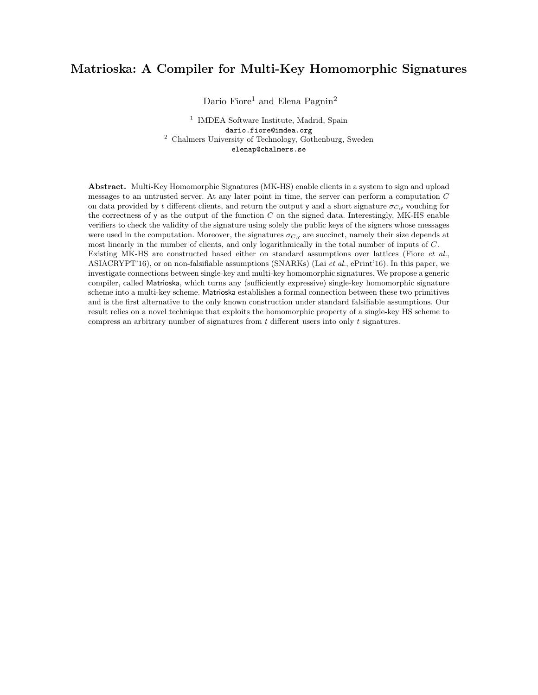# Matrioska: A Compiler for Multi-Key Homomorphic Signatures

Dario Fiore<sup>1</sup> and Elena Pagnin<sup>2</sup>

<sup>1</sup> IMDEA Software Institute, Madrid, Spain dario.fiore@imdea.org <sup>2</sup> Chalmers University of Technology, Gothenburg, Sweden elenap@chalmers.se

Abstract. Multi-Key Homomorphic Signatures (MK-HS) enable clients in a system to sign and upload messages to an untrusted server. At any later point in time, the server can perform a computation C on data provided by t different clients, and return the output y and a short signature  $\sigma_{C,y}$  vouching for the correctness of y as the output of the function  $C$  on the signed data. Interestingly, MK-HS enable verifiers to check the validity of the signature using solely the public keys of the signers whose messages were used in the computation. Moreover, the signatures  $\sigma_{C,y}$  are succinct, namely their size depends at most linearly in the number of clients, and only logarithmically in the total number of inputs of C. Existing MK-HS are constructed based either on standard assumptions over lattices (Fiore et al., ASIACRYPT'16), or on non-falsifiable assumptions (SNARKs) (Lai et al., ePrint'16). In this paper, we investigate connections between single-key and multi-key homomorphic signatures. We propose a generic compiler, called Matrioska, which turns any (sufficiently expressive) single-key homomorphic signature scheme into a multi-key scheme. Matrioska establishes a formal connection between these two primitives and is the first alternative to the only known construction under standard falsifiable assumptions. Our result relies on a novel technique that exploits the homomorphic property of a single-key HS scheme to compress an arbitrary number of signatures from  $t$  different users into only  $t$  signatures.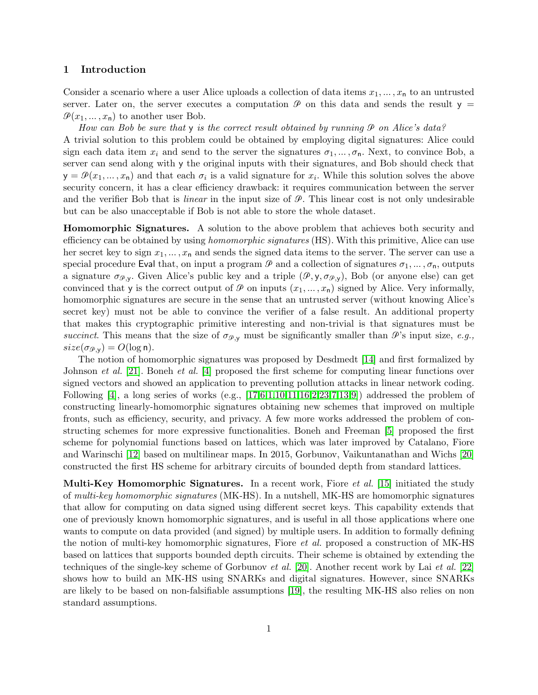# 1 Introduction

Consider a scenario where a user Alice uploads a collection of data items  $x_1, \ldots, x_n$  to an untrusted server. Later on, the server executes a computation  $\mathcal P$  on this data and sends the result  $y =$  $\mathcal{P}(x_1, \ldots, x_n)$  to another user Bob.

How can Bob be sure that  $y$  is the correct result obtained by running  $\mathcal P$  on Alice's data? A trivial solution to this problem could be obtained by employing digital signatures: Alice could sign each data item  $x_i$  and send to the server the signatures  $\sigma_1, \ldots, \sigma_n$ . Next, to convince Bob, a server can send along with y the original inputs with their signatures, and Bob should check that  $y = \mathcal{P}(x_1, \ldots, x_n)$  and that each  $\sigma_i$  is a valid signature for  $x_i$ . While this solution solves the above security concern, it has a clear efficiency drawback: it requires communication between the server and the verifier Bob that is *linear* in the input size of  $\mathcal{P}$ . This linear cost is not only undesirable but can be also unacceptable if Bob is not able to store the whole dataset.

Homomorphic Signatures. A solution to the above problem that achieves both security and efficiency can be obtained by using *homomorphic signatures* (HS). With this primitive, Alice can use her secret key to sign  $x_1, \ldots, x_n$  and sends the signed data items to the server. The server can use a special procedure Eval that, on input a program  $\mathcal P$  and a collection of signatures  $\sigma_1, \ldots, \sigma_n$ , outputs a signature  $\sigma_{\varphi,\mathbf{y}}$ . Given Alice's public key and a triple  $(\varphi,\mathbf{y},\sigma_{\varphi,\mathbf{y}})$ , Bob (or anyone else) can get convinced that y is the correct output of  $\mathcal P$  on inputs  $(x_1, \ldots, x_n)$  signed by Alice. Very informally, homomorphic signatures are secure in the sense that an untrusted server (without knowing Alice's secret key) must not be able to convince the verifier of a false result. An additional property that makes this cryptographic primitive interesting and non-trivial is that signatures must be succinct. This means that the size of  $\sigma_{\mathcal{P},\mathsf{y}}$  must be significantly smaller than  $\mathcal{P}$ 's input size, e.g.,  $size(\sigma_{\mathcal{P},\mathsf{y}}) = O(\log n).$ 

The notion of homomorphic signatures was proposed by Desdmedt [\[14\]](#page-15-0) and first formalized by Johnson et al. [\[21\]](#page-15-1). Boneh et al. [\[4\]](#page-15-2) proposed the first scheme for computing linear functions over signed vectors and showed an application to preventing pollution attacks in linear network coding. Following  $[4]$ , a long series of works (e.g.,  $[17,6,1,10,11,16,2,23,7,13,9]$  $[17,6,1,10,11,16,2,23,7,13,9]$  $[17,6,1,10,11,16,2,23,7,13,9]$  $[17,6,1,10,11,16,2,23,7,13,9]$  $[17,6,1,10,11,16,2,23,7,13,9]$  $[17,6,1,10,11,16,2,23,7,13,9]$  $[17,6,1,10,11,16,2,23,7,13,9]$  $[17,6,1,10,11,16,2,23,7,13,9]$  $[17,6,1,10,11,16,2,23,7,13,9]$  $[17,6,1,10,11,16,2,23,7,13,9]$  $[17,6,1,10,11,16,2,23,7,13,9]$ ) addressed the problem of constructing linearly-homomorphic signatures obtaining new schemes that improved on multiple fronts, such as efficiency, security, and privacy. A few more works addressed the problem of constructing schemes for more expressive functionalities. Boneh and Freeman [\[5\]](#page-15-13) proposed the first scheme for polynomial functions based on lattices, which was later improved by Catalano, Fiore and Warinschi [\[12\]](#page-15-14) based on multilinear maps. In 2015, Gorbunov, Vaikuntanathan and Wichs [\[20\]](#page-15-15) constructed the first HS scheme for arbitrary circuits of bounded depth from standard lattices.

**Multi-Key Homomorphic Signatures.** In a recent work, Fiore *et al.* [\[15\]](#page-15-16) initiated the study of multi-key homomorphic signatures (MK-HS). In a nutshell, MK-HS are homomorphic signatures that allow for computing on data signed using different secret keys. This capability extends that one of previously known homomorphic signatures, and is useful in all those applications where one wants to compute on data provided (and signed) by multiple users. In addition to formally defining the notion of multi-key homomorphic signatures, Fiore et al. proposed a construction of MK-HS based on lattices that supports bounded depth circuits. Their scheme is obtained by extending the techniques of the single-key scheme of Gorbunov et al. [\[20\]](#page-15-15). Another recent work by Lai et al. [\[22\]](#page-15-17) shows how to build an MK-HS using SNARKs and digital signatures. However, since SNARKs are likely to be based on non-falsifiable assumptions [\[19\]](#page-15-18), the resulting MK-HS also relies on non standard assumptions.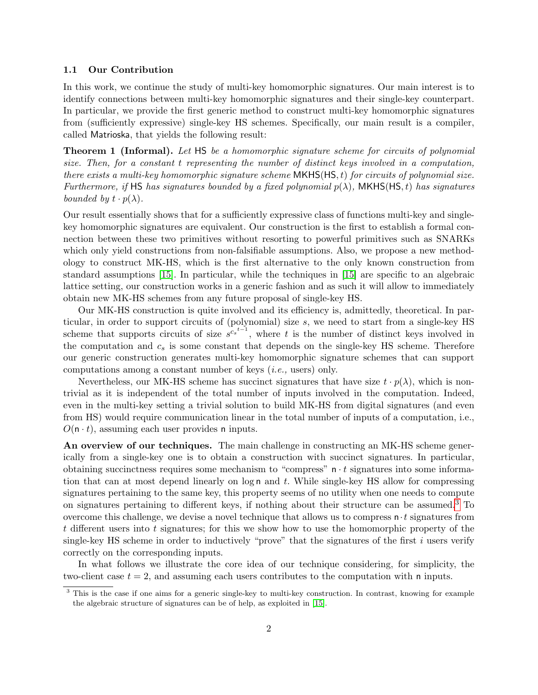## 1.1 Our Contribution

In this work, we continue the study of multi-key homomorphic signatures. Our main interest is to identify connections between multi-key homomorphic signatures and their single-key counterpart. In particular, we provide the first generic method to construct multi-key homomorphic signatures from (sufficiently expressive) single-key HS schemes. Specifically, our main result is a compiler, called Matrioska, that yields the following result:

**Theorem 1 (Informal).** Let HS be a homomorphic signature scheme for circuits of polynomial size. Then, for a constant t representing the number of distinct keys involved in a computation, there exists a multi-key homomorphic signature scheme  $MKHS(HS, t)$  for circuits of polynomial size. Furthermore, if HS has signatures bounded by a fixed polynomial  $p(\lambda)$ , MKHS(HS, t) has signatures bounded by  $t \cdot p(\lambda)$ .

Our result essentially shows that for a sufficiently expressive class of functions multi-key and singlekey homomorphic signatures are equivalent. Our construction is the first to establish a formal connection between these two primitives without resorting to powerful primitives such as SNARKs which only yield constructions from non-falsifiable assumptions. Also, we propose a new methodology to construct MK-HS, which is the first alternative to the only known construction from standard assumptions [\[15\]](#page-15-16). In particular, while the techniques in [\[15\]](#page-15-16) are specific to an algebraic lattice setting, our construction works in a generic fashion and as such it will allow to immediately obtain new MK-HS schemes from any future proposal of single-key HS.

Our MK-HS construction is quite involved and its efficiency is, admittedly, theoretical. In particular, in order to support circuits of (polynomial) size s, we need to start from a single-key HS scheme that supports circuits of size  $s^{c_s t-1}$ , where t is the number of distinct keys involved in the computation and  $c_s$  is some constant that depends on the single-key HS scheme. Therefore our generic construction generates multi-key homomorphic signature schemes that can support computations among a constant number of keys (i.e., users) only.

Nevertheless, our MK-HS scheme has succinct signatures that have size  $t \cdot p(\lambda)$ , which is nontrivial as it is independent of the total number of inputs involved in the computation. Indeed, even in the multi-key setting a trivial solution to build MK-HS from digital signatures (and even from HS) would require communication linear in the total number of inputs of a computation, i.e.,  $O(n \cdot t)$ , assuming each user provides n inputs.

An overview of our techniques. The main challenge in constructing an MK-HS scheme generically from a single-key one is to obtain a construction with succinct signatures. In particular, obtaining succinctness requires some mechanism to "compress"  $\mathsf{n} \cdot t$  signatures into some information that can at most depend linearly on  $log n$  and t. While single-key HS allow for compressing signatures pertaining to the same key, this property seems of no utility when one needs to compute on signatures pertaining to different keys, if nothing about their structure can be assumed.[3](#page-2-0) To overcome this challenge, we devise a novel technique that allows us to compress  $\mathbf{n} \cdot t$  signatures from t different users into t signatures; for this we show how to use the homomorphic property of the single-key HS scheme in order to inductively "prove" that the signatures of the first  $i$  users verify correctly on the corresponding inputs.

In what follows we illustrate the core idea of our technique considering, for simplicity, the two-client case  $t = 2$ , and assuming each users contributes to the computation with n inputs.

<span id="page-2-0"></span><sup>&</sup>lt;sup>3</sup> This is the case if one aims for a generic single-key to multi-key construction. In contrast, knowing for example the algebraic structure of signatures can be of help, as exploited in [\[15\]](#page-15-16).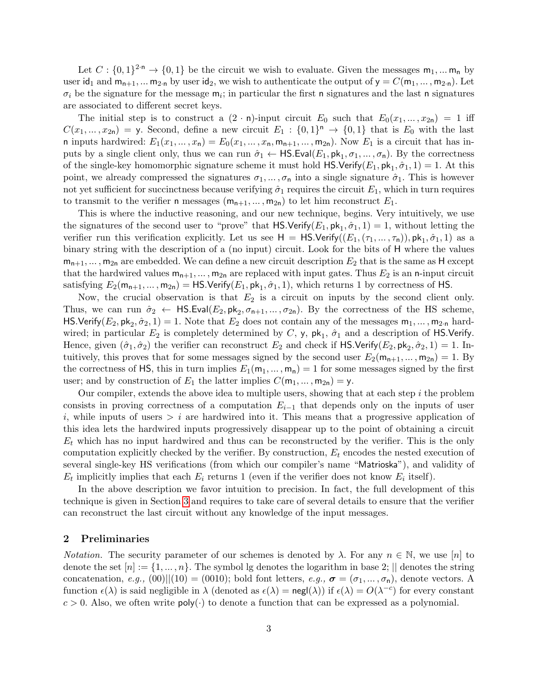Let  $C: \{0,1\}^{2\cdot n} \to \{0,1\}$  be the circuit we wish to evaluate. Given the messages  $m_1, ... m_n$  by user id<sub>1</sub> and  $m_{n+1}$ , ...  $m_{2n}$  by user id<sub>2</sub>, we wish to authenticate the output of  $y = C(m_1, ..., m_{2n})$ . Let  $\sigma_i$  be the signature for the message  $m_i$ ; in particular the first n signatures and the last n signatures are associated to different secret keys.

The initial step is to construct a  $(2 \cdot n)$ -input circuit  $E_0$  such that  $E_0(x_1, \ldots, x_{2n}) = 1$  iff  $C(x_1,...,x_{2n}) =$  y. Second, define a new circuit  $E_1 : \{0,1\}^n \to \{0,1\}$  that is  $E_0$  with the last n inputs hardwired:  $E_1(x_1, \ldots, x_n) = E_0(x_1, \ldots, x_n, m_{n+1}, \ldots, m_{2n})$ . Now  $E_1$  is a circuit that has inputs by a single client only, thus we can run  $\hat{\sigma}_1 \leftarrow \mathsf{HS}.\mathsf{Eval}(E_1, \mathsf{pk}_1, \sigma_1, \dots, \sigma_n)$ . By the correctness of the single-key homomorphic signature scheme it must hold  $\mathsf{HS}.\mathsf{Verify}(E_1, \mathsf{pk}_1, \hat{\sigma}_1, 1) = 1$ . At this point, we already compressed the signatures  $\sigma_1, \ldots, \sigma_n$  into a single signature  $\hat{\sigma}_1$ . This is however not yet sufficient for succinctness because verifying  $\hat{\sigma}_1$  requires the circuit  $E_1$ , which in turn requires to transmit to the verifier n messages  $(m_{n+1},...,m_{2n})$  to let him reconstruct  $E_1$ .

This is where the inductive reasoning, and our new technique, begins. Very intuitively, we use the signatures of the second user to "prove" that  $\mathsf{HS}.\mathsf{Verify}(E_1, \mathsf{pk}_1, \hat{\sigma}_1, 1) = 1$ , without letting the verifier run this verification explicitly. Let us see  $H = HS.Verify((E_1, (\tau_1, ..., \tau_n)), pk_1, \hat{\sigma}_1, 1)$  as a binary string with the description of a (no input) circuit. Look for the bits of H where the values  $m_{n+1}, \ldots, m_{2n}$  are embedded. We can define a new circuit description  $E_2$  that is the same as H except that the hardwired values  $m_{n+1}, \ldots, m_{2n}$  are replaced with input gates. Thus  $E_2$  is an n-input circuit satisfying  $E_2(\mathsf{m}_{\mathsf{n}+1},...,\mathsf{m}_{2\mathsf{n}}) = \mathsf{HS}.\mathsf{Verify}(E_1,\mathsf{pk}_1,\hat{\sigma}_1,1),$  which returns 1 by correctness of  $\mathsf{HS}.$ 

Now, the crucial observation is that  $E_2$  is a circuit on inputs by the second client only. Thus, we can run  $\hat{\sigma}_2 \leftarrow \text{HS.Eval}(E_2, \text{pk}_2, \sigma_{n+1}, \dots, \sigma_{2n})$ . By the correctness of the HS scheme, HS.Verify( $E_2$ ,  $\mathsf{pk}_2$ ,  $\hat{\sigma}_2$ , 1) = 1. Note that  $E_2$  does not contain any of the messages  $\mathsf{m}_1, \dots, \mathsf{m}_{2\cdot n}$  hardwired; in particular  $E_2$  is completely determined by C, y,  $\mathsf{pk}_1$ ,  $\hat{\sigma}_1$  and a description of HS.Verify. Hence, given  $(\hat{\sigma}_1, \hat{\sigma}_2)$  the verifier can reconstruct  $E_2$  and check if  $\textsf{HS}.\textsf{Verify}(E_2, \textsf{pk}_2, \hat{\sigma}_2, 1) = 1$ . Intuitively, this proves that for some messages signed by the second user  $E_2(\mathsf{m}_{n+1}, \dots, \mathsf{m}_{2n}) = 1$ . By the correctness of HS, this in turn implies  $E_1(m_1, \ldots, m_n) = 1$  for some messages signed by the first user; and by construction of  $E_1$  the latter implies  $C(\mathsf{m}_1, \dots, \mathsf{m}_{2\mathsf{n}}) = \mathsf{y}$ .

Our compiler, extends the above idea to multiple users, showing that at each step  $i$  the problem consists in proving correctness of a computation  $E_{i-1}$  that depends only on the inputs of user i, while inputs of users  $\geq i$  are hardwired into it. This means that a progressive application of this idea lets the hardwired inputs progressively disappear up to the point of obtaining a circuit  $E_t$  which has no input hardwired and thus can be reconstructed by the verifier. This is the only computation explicitly checked by the verifier. By construction,  $E_t$  encodes the nested execution of several single-key HS verifications (from which our compiler's name "Matrioska"), and validity of  $E_t$  implicitly implies that each  $E_i$  returns 1 (even if the verifier does not know  $E_i$  itself).

In the above description we favor intuition to precision. In fact, the full development of this technique is given in Section [3](#page-7-0) and requires to take care of several details to ensure that the verifier can reconstruct the last circuit without any knowledge of the input messages.

## 2 Preliminaries

*Notation.* The security parameter of our schemes is denoted by  $\lambda$ . For any  $n \in \mathbb{N}$ , we use [n] to denote the set  $[n] := \{1, ..., n\}$ . The symbol lg denotes the logarithm in base 2;  $\vert\vert$  denotes the string concatenation, e.g.,  $(00)||(10) = (0010)$ ; bold font letters, e.g.,  $\sigma = (\sigma_1, ..., \sigma_n)$ , denote vectors. A function  $\epsilon(\lambda)$  is said negligible in  $\lambda$  (denoted as  $\epsilon(\lambda) = \text{negl}(\lambda)$ ) if  $\epsilon(\lambda) = O(\lambda^{-c})$  for every constant  $c > 0$ . Also, we often write  $poly(\cdot)$  to denote a function that can be expressed as a polynomial.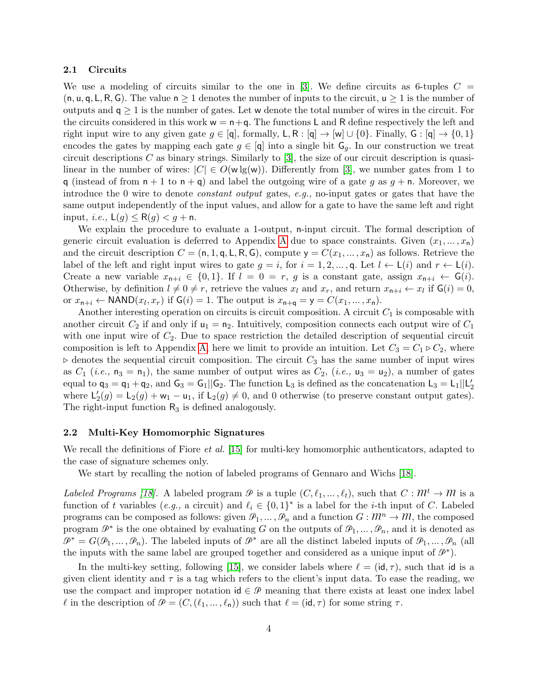## 2.1 Circuits

We use a modeling of circuits similar to the one in [\[3\]](#page-15-19). We define circuits as 6-tuples  $C =$  $(n, u, q, L, R, G)$ . The value  $n \geq 1$  denotes the number of inputs to the circuit,  $u \geq 1$  is the number of outputs and  $q \geq 1$  is the number of gates. Let w denote the total number of wires in the circuit. For the circuits considered in this work  $w = n + q$ . The functions L and R define respectively the left and right input wire to any given gate  $g \in [q]$ , formally,  $\mathsf{L}, \mathsf{R} : [q] \to [w] \cup \{0\}$ . Finally,  $\mathsf{G} : [q] \to \{0,1\}$ encodes the gates by mapping each gate  $g \in [q]$  into a single bit  $G_q$ . In our construction we treat circuit descriptions  $C$  as binary strings. Similarly to [\[3\]](#page-15-19), the size of our circuit description is quasilinear in the number of wires:  $|C| \in O(w\lg(w))$ . Differently from [\[3\]](#page-15-19), we number gates from 1 to q (instead of from  $n + 1$  to  $n + q$ ) and label the outgoing wire of a gate g as  $q + n$ . Moreover, we introduce the 0 wire to denote constant output gates, e.g., no-input gates or gates that have the same output independently of the input values, and allow for a gate to have the same left and right input, *i.e.*,  $\mathsf{L}(g) \leq \mathsf{R}(g) < g + \mathsf{n}$ .

We explain the procedure to evaluate a 1-output, n-input circuit. The formal description of generic circuit evaluation is deferred to [A](#page-16-1)ppendix A due to space constraints. Given  $(x_1, \ldots, x_n)$ and the circuit description  $C = (n, 1, q, L, R, G)$ , compute  $y = C(x_1, ..., x_n)$  as follows. Retrieve the label of the left and right input wires to gate  $g = i$ , for  $i = 1, 2, ..., q$ . Let  $l \leftarrow L(i)$  and  $r \leftarrow L(i)$ . Create a new variable  $x_{n+i} \in \{0,1\}$ . If  $l = 0 = r$ , g is a constant gate, assign  $x_{n+i} \leftarrow G(i)$ . Otherwise, by definition  $l \neq 0 \neq r$ , retrieve the values  $x_l$  and  $x_r$ , and return  $x_{n+i} \leftarrow x_l$  if  $\mathsf{G}(i) = 0$ , or  $x_{n+i} \leftarrow \text{NAND}(x_l, x_r)$  if  $\mathsf{G}(i) = 1$ . The output is  $x_{n+q} = \mathsf{y} = C(x_1, \dots, x_n)$ .

Another interesting operation on circuits is circuit composition. A circuit  $C_1$  is composable with another circuit  $C_2$  if and only if  $u_1 = n_2$ . Intuitively, composition connects each output wire of  $C_1$ with one input wire of  $C_2$ . Due to space restriction the detailed description of sequential circuit composition is left to Appendix [A,](#page-16-1) here we limit to provide an intuition. Let  $C_3 = C_1 \triangleright C_2$ , where  $\triangleright$  denotes the sequential circuit composition. The circuit  $C_3$  has the same number of input wires as  $C_1$  (*i.e.*,  $n_3 = n_1$ ), the same number of output wires as  $C_2$ , (*i.e.*,  $u_3 = u_2$ ), a number of gates equal to  $q_3 = q_1 + q_2$ , and  $G_3 = G_1 || G_2$ . The function  $L_3$  is defined as the concatenation  $L_3 = L_1 || L'_2$ where  $\mathsf{L}'_2(g) = \mathsf{L}_2(g) + \mathsf{w}_1 - \mathsf{u}_1$ , if  $\mathsf{L}_2(g) \neq 0$ , and 0 otherwise (to preserve constant output gates). The right-input function  $R_3$  is defined analogously.

#### 2.2 Multi-Key Homomorphic Signatures

We recall the definitions of Fiore *et al.* [\[15\]](#page-15-16) for multi-key homomorphic authenticators, adapted to the case of signature schemes only.

We start by recalling the notion of labeled programs of Gennaro and Wichs [\[18\]](#page-15-20).

Labeled Programs [\[18\]](#page-15-20). A labeled program  $\mathcal P$  is a tuple  $(C, \ell_1, \ldots, \ell_t)$ , such that  $C : \mathcal M^t \to \mathcal M$  is a function of t variables (e.g., a circuit) and  $\ell_i \in \{0, 1\}^*$  is a label for the *i*-th input of C. Labeled programs can be composed as follows: given  $\mathcal{P}_1, \ldots, \mathcal{P}_n$  and a function  $G : \mathbb{M}^n \to \mathbb{M}$ , the composed program  $\mathcal{P}^*$  is the one obtained by evaluating G on the outputs of  $\mathcal{P}_1, \ldots, \mathcal{P}_n$ , and it is denoted as  $\mathcal{P}^* = G(\mathcal{P}_1, \ldots, \mathcal{P}_n)$ . The labeled inputs of  $\mathcal{P}^*$  are all the distinct labeled inputs of  $\mathcal{P}_1, \ldots, \mathcal{P}_n$  (all the inputs with the same label are grouped together and considered as a unique input of  $\mathcal{P}^*$ ).

In the multi-key setting, following [\[15\]](#page-15-16), we consider labels where  $\ell = (\mathsf{id}, \tau)$ , such that id is a given client identity and  $\tau$  is a tag which refers to the client's input data. To ease the reading, we use the compact and improper notation  $\mathsf{id} \in \mathcal{P}$  meaning that there exists at least one index label  $\ell$  in the description of  $\mathcal{P} = (C,(\ell_1,\ldots,\ell_n))$  such that  $\ell = (\mathsf{id}, \tau)$  for some string  $\tau$ .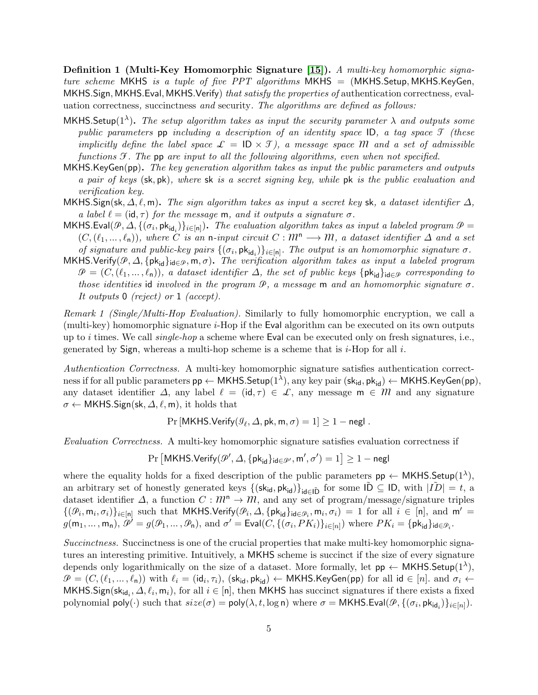**Definition 1 (Multi-Key Homomorphic Signature [\[15\]](#page-15-16)).** A multi-key homomorphic signature scheme MKHS is a tuple of five  $PPT$  algorithms MKHS = (MKHS.Setup, MKHS.KeyGen, MKHS.Sign, MKHS.Eval, MKHS.Verify) that satisfy the properties of authentication correctness, evaluation correctness, succinctness and security. The algorithms are defined as follows:

- MKHS. Setup(1<sup> $\lambda$ </sup>). The setup algorithm takes as input the security parameter  $\lambda$  and outputs some public parameters pp including a description of an identity space  $\mathsf{ID}$ , a tag space  $\mathcal T$  (these implicitly define the label space  $\mathcal{L} = \mathsf{ID} \times \mathcal{T}$ , a message space M and a set of admissible functions  $\mathcal F$ . The pp are input to all the following algorithms, even when not specified.
- MKHS.KeyGen(pp). The key generation algorithm takes as input the public parameters and outputs a pair of keys (sk, pk), where sk is a secret signing key, while pk is the public evaluation and verification key.
- MKHS.Sign(sk,  $\Delta, \ell, m$ ). The sign algorithm takes as input a secret key sk, a dataset identifier  $\Delta$ , a label  $\ell = (\mathsf{id}, \tau)$  for the message m, and it outputs a signature  $\sigma$ .
- $MKHS.Eval(\mathcal{P},\Delta,\{(\sigma_i,\mathsf{pk}_{\mathsf{id}_i})\}_{i\in[n]})$ . The evaluation algorithm takes as input a labeled program  $\mathcal{P}=$  $(C,(\ell_1,\ldots,\ell_n))$ , where C is an n-input circuit  $C : \mathbb{M}^n \longrightarrow \mathbb{M}$ , a dataset identifier  $\Delta$  and a set of signature and public-key pairs  $\{(\sigma_i, \mathsf{pk}_{\mathsf{id}_i})\}_{i \in [n]}$ . The output is an homomorphic signature  $\sigma$ .
- MKHS.Verify( $\mathcal{P}, \Delta, \{\mathsf{pk}_{\mathsf{id}}\}_{\mathsf{id}\in\mathcal{P}}, \mathsf{m}, \sigma$ ). The verification algorithm takes as input a labeled program  $\mathcal{P} = (C, (\ell_1, \ldots, \ell_n))$ , a dataset identifier  $\Delta$ , the set of public keys {pk<sub>id</sub>}<sub>id∈</sub> $\varphi$  corresponding to those identities id involved in the program  $\mathcal{P}$ , a message m and an homomorphic signature  $\sigma$ . It outputs 0 (reject) or 1 (accept).

Remark 1 (Single/Multi-Hop Evaluation). Similarly to fully homomorphic encryption, we call a (multi-key) homomorphic signature i-Hop if the Eval algorithm can be executed on its own outputs up to i times. We call  $single-hop$  a scheme where Eval can be executed only on fresh signatures, i.e., generated by  $Sign$ , whereas a multi-hop scheme is a scheme that is *i*-Hop for all *i*.

Authentication Correctness. A multi-key homomorphic signature satisfies authentication correct- ${\rmness\,}$ if for all public parameters  ${\sf pp}\leftarrow{\sf MKHS}$ . Setup $(1^\lambda),$  any key pair  $({\sf sk}_{{\sf id}}, {\sf pk}_{{\sf id}}) \leftarrow {\sf MKHS}$ . Key ${\sf Gen}({\sf pp}),$ any dataset identifier  $\Delta$ , any label  $\ell = (\mathsf{id}, \tau) \in \mathcal{L}$ , any message  $\mathsf{m} \in \mathcal{M}$  and any signature  $\sigma \leftarrow \mathsf{MKHS}.Sign(\mathsf{sk}, \Delta, \ell, \mathsf{m})$ , it holds that

$$
\Pr[\mathsf{MKHS}.\mathsf{Verify}(\mathcal{G}_\ell,\Delta,\mathsf{pk},\mathsf{m},\sigma)=1]\geq 1-\mathsf{negl}.
$$

Evaluation Correctness. A multi-key homomorphic signature satisfies evaluation correctness if

 $\Pr\left[\mathsf{MKHS}.\mathsf{Verify}(\mathscr{P}',\varDelta,\{\mathsf{pk}_\mathsf{id}\}_{\mathsf{id}\in\mathscr{P}'},\mathsf{m}',\sigma')=1\right]\ge 1-\mathsf{negl}$ 

where the equality holds for a fixed description of the public parameters  $pp \leftarrow \text{MKHS}$ . Setup $(1^{\lambda})$ , an arbitrary set of honestly generated keys  $\{(\mathsf{sk}_{\mathsf{id}}, \mathsf{pk}_{\mathsf{id}})\}_{\mathsf{id}\in\tilde{\mathsf{ID}}}$  for some  $\tilde{\mathsf{ID}}\subseteq\mathsf{ID}$ , with  $|\tilde{ID}|=t$ , a dataset identifier  $\Delta$ , a function  $C : \mathbb{M}^n \to \mathbb{M}$ , and any set of program/message/signature triples  $\{(\mathcal{P}_i, m_i, \sigma_i)\}_{i \in [n]}$  such that MKHS.Verify $(\mathcal{P}_i, \Delta, \{pk_{id}\}_{id \in \mathcal{P}_i}, m_i, \sigma_i) = 1$  for all  $i \in [n]$ , and  $m' =$  $g(\mathsf{m}_1,\ldots,\mathsf{m}_\mathsf{n}),\ \dot{\mathscr{P}}^\prime=g(\mathscr{P}_1,\ldots,\mathscr{P}_\mathsf{n}), \text{ and } \sigma^\prime=\mathsf{Eval}(C,\{(\sigma_i,PK_i)\}_{i\in[n]}) \text{ where } PK_i=\{\mathsf{pk}_{\mathsf{id}}\}_{\mathsf{id}\in\mathscr{P}_i}.$ 

Succinctness. Succinctness is one of the crucial properties that make multi-key homomorphic signatures an interesting primitive. Intuitively, a MKHS scheme is succinct if the size of every signature depends only logarithmically on the size of a dataset. More formally, let  $pp \leftarrow \text{MKHS}.\text{Setup}(1^{\lambda}),$  $\mathcal{P} = (C, (\ell_1, ..., \ell_n))$  with  $\ell_i = (\mathsf{id}_i, \tau_i)$ ,  $(\mathsf{sk}_{\mathsf{id}}, \mathsf{pk}_{\mathsf{id}}) \leftarrow \mathsf{MKHS}.\mathsf{KeyGen}(\mathsf{pp})$  for all  $\mathsf{id} \in [n]$ . and  $\sigma_i \leftarrow$ MKHS. Sign( $\mathsf{sk}_{\mathsf{id}_i}, \Delta, \ell_i, \mathsf{m}_i$ ), for all  $i \in [\mathsf{n}]$ , then MKHS has succinct signatures if there exists a fixed polynomial  $\mathsf{poly}(\cdot)$  such that  $size(\sigma) = \mathsf{poly}(\lambda, t, \log \mathsf{n})$  where  $\sigma = \mathsf{MKHS}.\mathsf{Eval}(\mathcal{P}, \{(\sigma_i, \mathsf{pk}_{\mathsf{id}_i})\}_{i \in [n]}).$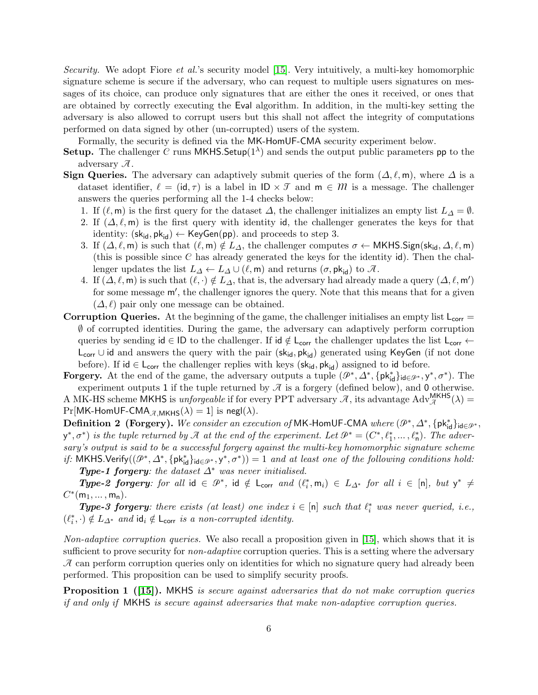Security. We adopt Fiore et al.'s security model [\[15\]](#page-15-16). Very intuitively, a multi-key homomorphic signature scheme is secure if the adversary, who can request to multiple users signatures on messages of its choice, can produce only signatures that are either the ones it received, or ones that are obtained by correctly executing the Eval algorithm. In addition, in the multi-key setting the adversary is also allowed to corrupt users but this shall not affect the integrity of computations performed on data signed by other (un-corrupted) users of the system.

Formally, the security is defined via the MK-HomUF-CMA security experiment below.

- **Setup.** The challenger C runs MKHS. Setup $(1^{\lambda})$  and sends the output public parameters pp to the adversary  $\mathcal{A}$ .
- **Sign Queries.** The adversary can adaptively submit queries of the form  $(\Delta, \ell, m)$ , where  $\Delta$  is a dataset identifier,  $\ell = (\mathsf{id}, \tau)$  is a label in  $\mathsf{ID} \times \mathcal{T}$  and  $\mathsf{m} \in \mathcal{M}$  is a message. The challenger answers the queries performing all the 1-4 checks below:
	- 1. If  $(\ell, m)$  is the first query for the dataset  $\Delta$ , the challenger initializes an empty list  $L_{\Delta} = \emptyset$ .
	- 2. If  $(\Delta, \ell, m)$  is the first query with identity id, the challenger generates the keys for that identity:  $(\mathsf{sk}_{\mathsf{id}}, \mathsf{pk}_{\mathsf{id}}) \leftarrow \mathsf{KeyGen}(\mathsf{pp})$ . and proceeds to step 3.
	- 3. If  $(\Delta, \ell, m)$  is such that  $(\ell, m) \notin L_{\Delta}$ , the challenger computes  $\sigma \leftarrow \mathsf{MKHS}.\mathsf{Sign}(\mathsf{sk}_{\mathsf{id}}, \Delta, \ell, m)$ (this is possible since C has already generated the keys for the identity  $\mathsf{id}$ ). Then the challenger updates the list  $L_{\Delta} \leftarrow L_{\Delta} \cup (\ell, \mathsf{m})$  and returns  $(\sigma, \mathsf{pk}_{\mathsf{id}})$  to  $\mathcal{A}$ .
	- 4. If  $(\Delta, \ell, m)$  is such that  $(\ell, \cdot) \notin L_{\Delta}$ , that is, the adversary had already made a query  $(\Delta, \ell, m')$ for some message  $m'$ , the challenger ignores the query. Note that this means that for a given  $(\Delta, \ell)$  pair only one message can be obtained.
- Corruption Queries. At the beginning of the game, the challenger initialises an empty list  $L_{corr} =$ ∅ of corrupted identities. During the game, the adversary can adaptively perform corruption queries by sending  $id \in ID$  to the challenger. If  $id \notin L_{corr}$  the challenger updates the list  $L_{corr} \leftarrow$ L<sub>corr</sub> ∪ id and answers the query with the pair (sk<sub>id</sub>, pk<sub>id</sub>) generated using KeyGen (if not done before). If id  $\in L_{corr}$  the challenger replies with keys (sk<sub>id</sub>, pk<sub>id</sub>) assigned to id before.

Forgery. At the end of the game, the adversary outputs a tuple  $(\mathcal{P}^*, \Delta^*, \{\mathsf{pk}^*_{\mathsf{id}}\}_{\mathsf{id}\in\mathcal{P}^*}, y^*, \sigma^*)$ . The experiment outputs 1 if the tuple returned by  $\mathcal{A}$  is a forgery (defined below), and 0 otherwise. A MK-HS scheme MKHS is *unforgeable* if for every PPT adversary  $\mathcal{A}$ , its advantage  $Adv_{\mathcal{A}}^{MKHS}(\lambda)$  =  $Pr[MK-HomUF-CMA<sub>A,MKHS</sub>(\lambda) = 1]$  is negl( $\lambda$ ).

**Definition 2** (Forgery). We consider an execution of MK-HomUF-CMA where  $(\mathcal{P}^*, \Delta^*, \{\mathsf{pk}^*_{\mathsf{id}}\}_{\mathsf{id}\in\mathcal{P}^*},$  $(y^*, \sigma^*)$  is the tuple returned by  $\mathcal A$  at the end of the experiment. Let  $\mathcal P^*=(C^*, \ell_1^*, \ldots, \ell_n^*)$ . The adversary's output is said to be a successful forgery against the multi-key homomorphic signature scheme if: MKHS.Verify $((\mathcal{P}^*, \Delta^*, \{\mathsf{pk}^*_{\mathsf{id}}\}_{\mathsf{id}\in\mathcal{P}^*}, y^*, \sigma^*)) = 1$  and at least one of the following conditions hold:

**Type-1 forgery:** the dataset  $\Delta^*$  was never initialised.

Type-2 forgery: for all id  $\in \mathcal{P}^*$ , id  $\notin \mathsf{L}_{corr}$  and  $(\ell_i^*, m_i) \in L_{\Delta^*}$  for all  $i \in [n]$ , but  $y^* \neq$  $C^*(m_1, \ldots, m_n)$ .

**Type-3 forgery:** there exists (at least) one index  $i \in [n]$  such that  $\ell_i^*$  was never queried, i.e.,  $(\ell_i^*, \cdot) \notin L_{\Delta^*}$  and  $\mathsf{id}_i \notin \mathsf{L}_{\mathsf{corr}}$  is a non-corrupted identity.

Non-adaptive corruption queries. We also recall a proposition given in [\[15\]](#page-15-16), which shows that it is sufficient to prove security for *non-adaptive* corruption queries. This is a setting where the adversary  $\mathcal A$  can perform corruption queries only on identities for which no signature query had already been performed. This proposition can be used to simplify security proofs.

<span id="page-6-0"></span>**Proposition 1** (15). MKHS is secure against adversaries that do not make corruption queries if and only if MKHS is secure against adversaries that make non-adaptive corruption queries.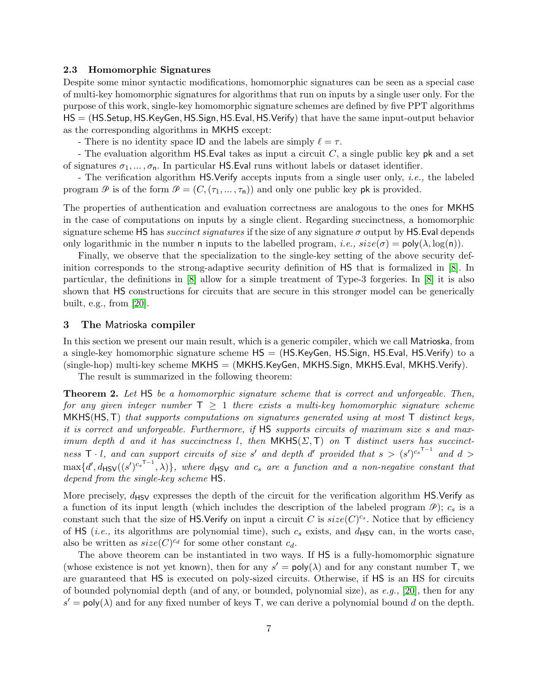## 2.3 Homomorphic Signatures

Despite some minor syntactic modifications, homomorphic signatures can be seen as a special case of multi-key homomorphic signatures for algorithms that run on inputs by a single user only. For the purpose of this work, single-key homomorphic signature schemes are defined by five PPT algorithms HS = (HS.Setup, HS.KeyGen, HS.Sign, HS.Eval, HS.Verify) that have the same input-output behavior as the corresponding algorithms in MKHS except:

- There is no identity space ID and the labels are simply  $\ell = \tau$ .

- The evaluation algorithm  $\mathsf{HS}$ . Eval takes as input a circuit  $C$ , a single public key pk and a set of signatures  $\sigma_1, \ldots, \sigma_n$ . In particular HS. Eval runs without labels or dataset identifier.

- The verification algorithm HS.Verify accepts inputs from a single user only, i.e., the labeled program  $\mathcal P$  is of the form  $\mathcal P = (C, (\tau_1, \ldots, \tau_n))$  and only one public key pk is provided.

The properties of authentication and evaluation correctness are analogous to the ones for MKHS in the case of computations on inputs by a single client. Regarding succinctness, a homomorphic signature scheme HS has *succinct signatures* if the size of any signature  $\sigma$  output by HS. Eval depends only logarithmic in the number n inputs to the labelled program, *i.e.*,  $size(\sigma) = poly(\lambda, log(n))$ .

Finally, we observe that the specialization to the single-key setting of the above security definition corresponds to the strong-adaptive security definition of HS that is formalized in [\[8\]](#page-15-21). In particular, the definitions in [\[8\]](#page-15-21) allow for a simple treatment of Type-3 forgeries. In [\[8\]](#page-15-21) it is also shown that HS constructions for circuits that are secure in this stronger model can be generically built, e.g., from [\[20\]](#page-15-15).

# <span id="page-7-0"></span>3 The Matrioska compiler

In this section we present our main result, which is a generic compiler, which we call Matrioska, from a single-key homomorphic signature scheme  $HS = (HS.KeyGen, HS.Sign, HS.Eval, HS.Verify)$  to a  $(\text{single-hop})$  multi-key scheme MKHS =  $(MKHS.KeyGen, MKHS.Sign, MKHS.Eval, MKHS.Verify).$ 

<span id="page-7-1"></span>The result is summarized in the following theorem:

**Theorem 2.** Let HS be a homomorphic signature scheme that is correct and unforgeable. Then, for any given integer number  $T \geq 1$  there exists a multi-key homomorphic signature scheme MKHS(HS, T) that supports computations on signatures generated using at most  $\mathsf{T}$  distinct keys, it is correct and unforgeable. Furthermore, if HS supports circuits of maximum size s and maximum depth d and it has succinctness l, then  $MKHS(\Sigma, T)$  on T distinct users has succinctness  $\mathsf{T} \cdot l$ , and can support circuits of size s' and depth d' provided that  $s > (s')^{c_s \mathsf{T}-1}$  and  $d >$  $\max\{d', d_{\text{HSV}}((s')^{c_s \text{T}-1}, \lambda)\}\$ , where  $d_{\text{HSV}}$  and  $c_s$  are a function and a non-negative constant that depend from the single-key scheme HS.

More precisely,  $d_{\rm HSV}$  expresses the depth of the circuit for the verification algorithm HS.Verify as a function of its input length (which includes the description of the labeled program  $\mathcal{P}$ );  $c_s$  is a constant such that the size of HS.Verify on input a circuit C is  $size(C)^{c_s}$ . Notice that by efficiency of HS (*i.e.*, its algorithms are polynomial time), such  $c_s$  exists, and  $d_{\rm HSV}$  can, in the worts case, also be written as  $size(C)^{c_d}$  for some other constant  $c_d$ .

The above theorem can be instantiated in two ways. If HS is a fully-homomorphic signature (whose existence is not yet known), then for any  $s' = \text{poly}(\lambda)$  and for any constant number T, we are guaranteed that HS is executed on poly-sized circuits. Otherwise, if HS is an HS for circuits of bounded polynomial depth (and of any, or bounded, polynomial size), as  $e.g., [20]$  $e.g., [20]$ , then for any  $s' = \text{poly}(\lambda)$  and for any fixed number of keys T, we can derive a polynomial bound d on the depth.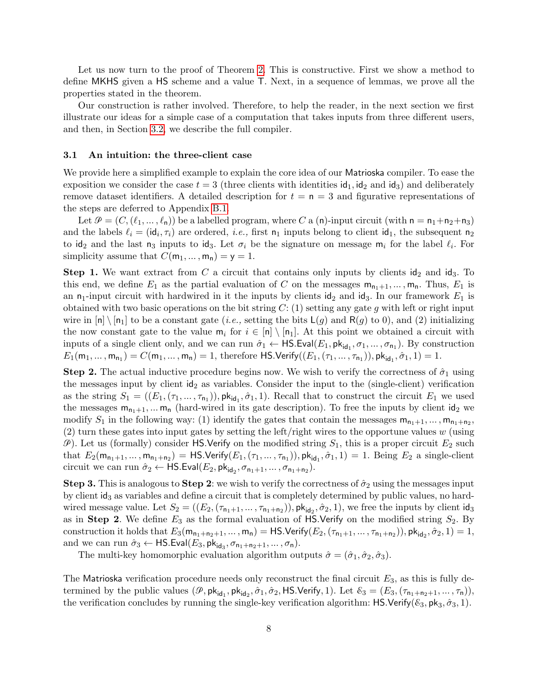Let us now turn to the proof of Theorem [2.](#page-7-1) This is constructive. First we show a method to define MKHS given a HS scheme and a value T. Next, in a sequence of lemmas, we prove all the properties stated in the theorem.

Our construction is rather involved. Therefore, to help the reader, in the next section we first illustrate our ideas for a simple case of a computation that takes inputs from three different users, and then, in Section [3.2,](#page-9-0) we describe the full compiler.

#### 3.1 An intuition: the three-client case

We provide here a simplified example to explain the core idea of our Matrioska compiler. To ease the exposition we consider the case  $t = 3$  (three clients with identities  $\mathsf{id}_1, \mathsf{id}_2$  and  $\mathsf{id}_3$ ) and deliberately remove dataset identifiers. A detailed description for  $t = n = 3$  and figurative representations of the steps are deferred to Appendix [B.1.](#page-17-0)

Let  $\mathcal{P} = (C, (\ell_1, \ldots, \ell_n))$  be a labelled program, where C a (n)-input circuit (with  $n = n_1+n_2+n_3$ ) and the labels  $\ell_i = (\mathrm{id}_i, \tau_i)$  are ordered, *i.e.*, first  $n_1$  inputs belong to client  $\mathrm{id}_1$ , the subsequent  $n_2$ to  $\mathsf{id}_2$  and the last  $\mathsf{n}_3$  inputs to  $\mathsf{id}_3$ . Let  $\sigma_i$  be the signature on message  $\mathsf{m}_i$  for the label  $\ell_i$ . For simplicity assume that  $C(m_1, ..., m_n) = y = 1$ .

**Step 1.** We want extract from C a circuit that contains only inputs by clients  $id_2$  and  $id_3$ . To this end, we define  $E_1$  as the partial evaluation of C on the messages  $m_{n_1+1},...,m_n$ . Thus,  $E_1$  is an  $n_1$ -input circuit with hardwired in it the inputs by clients id<sub>2</sub> and id<sub>3</sub>. In our framework  $E_1$  is obtained with two basic operations on the bit string  $C: (1)$  setting any gate g with left or right input wire in  $[n] \setminus [n_1]$  to be a constant gate (*i.e.*, setting the bits  $L(g)$  and  $R(g)$  to 0), and (2) initializing the now constant gate to the value  $m_i$  for  $i \in [n] \setminus [n_1]$ . At this point we obtained a circuit with inputs of a single client only, and we can run  $\hat{\sigma}_1 \leftarrow \text{HS.Eval}(E_1, \text{pk}_{\text{id}_1}, \sigma_1, \dots, \sigma_{n_1})$ . By construction  $E_1(m_1,...,m_{n_1}) = C(m_1,...,m_n) = 1$ , therefore HS.Verify $((E_1,(\tau_1,...,\tau_{n_1})), \mathrm{pk}_{\mathrm{id}_1}, \hat{\sigma}_1, 1) = 1$ .

**Step 2.** The actual inductive procedure begins now. We wish to verify the correctness of  $\hat{\sigma}_1$  using the messages input by client  $\mathrm{id}_2$  as variables. Consider the input to the (single-client) verification as the string  $S_1 = ((E_1, (\tau_1, \ldots, \tau_{n_1})), \mathsf{pk}_{\mathsf{id}_1}, \hat{\sigma}_1, 1)$ . Recall that to construct the circuit  $E_1$  we used the messages  $m_{n_1+1},...,m_n$  (hard-wired in its gate description). To free the inputs by client  $id_2$  we modify  $S_1$  in the following way: (1) identify the gates that contain the messages  $m_{n_1+1}, \ldots, m_{n_1+n_2}$ ,  $(2)$  turn these gates into input gates by setting the left/right wires to the opportune values w (using  $\mathcal{P}$ ). Let us (formally) consider HS.Verify on the modified string  $S_1$ , this is a proper circuit  $E_2$  such that  $E_2(m_{n_1+1},...,m_{n_1+n_2}) = \textsf{HS}.\textsf{Verify}(E_1,(\tau_1,...,\tau_{n_1})), \textsf{pk}_{\textsf{id}_1}, \hat{\sigma}_1, 1) = 1.$  Being  $E_2$  a single-client circuit we can run  $\hat{\sigma}_2 \leftarrow \mathsf{HS}.\mathsf{Eval}(E_2, \mathsf{pk}_{\mathsf{id}_2}, \sigma_{\mathsf{n}_1+1}, \dots, \sigma_{\mathsf{n}_1+\mathsf{n}_2}).$ 

**Step 3.** This is analogous to **Step 2**: we wish to verify the correctness of  $\hat{\sigma}_2$  using the messages input by client id<sup>3</sup> as variables and define a circuit that is completely determined by public values, no hardwired message value. Let  $S_2 = ((E_2, (\tau_{n_1+1}, \dots, \tau_{n_1+n_2}))$ ,  $\mathsf{pk}_{\mathsf{id}_2}, \hat{\sigma}_2, 1)$ , we free the inputs by client  $\mathsf{id}_3$ as in Step 2. We define  $E_3$  as the formal evaluation of HS.Verify on the modified string  $S_2$ . By construction it holds that  $E_3(m_{n_1+n_2+1},...,m_n) = \textsf{HS}.\textsf{Verify}(E_2,(\tau_{n_1+1},..., \tau_{n_1+n_2})), \textsf{pk}_{\textsf{id}_2}, \hat{\sigma}_2, 1) = 1,$ and we can run  $\hat{\sigma}_3 \leftarrow \textsf{HS.Eval}(E_3, \textsf{pk}_{\textsf{id}_3}, \sigma_{\textsf{n}_1+\textsf{n}_2+1}, \ldots, \sigma_{\textsf{n}}).$ 

The multi-key homomorphic evaluation algorithm outputs  $\hat{\sigma} = (\hat{\sigma}_1, \hat{\sigma}_2, \hat{\sigma}_3)$ .

The Matrioska verification procedure needs only reconstruct the final circuit  $E_3$ , as this is fully determined by the public values  $(\mathcal{P}, \mathsf{pk}_{\mathsf{id}_1}, \mathsf{pk}_{\mathsf{id}_2}, \hat{\sigma}_1, \hat{\sigma}_2, \mathsf{HS}.\mathsf{Verify}, 1)$ . Let  $\mathcal{E}_3 = (E_3, (\tau_{n_1+n_2+1}, \ldots, \tau_n)),$ the verification concludes by running the single-key verification algorithm:  $\mathsf{HS}.\mathsf{Verify}(\mathcal{E}_3, \mathsf{pk}_3, \hat{\sigma}_3, 1).$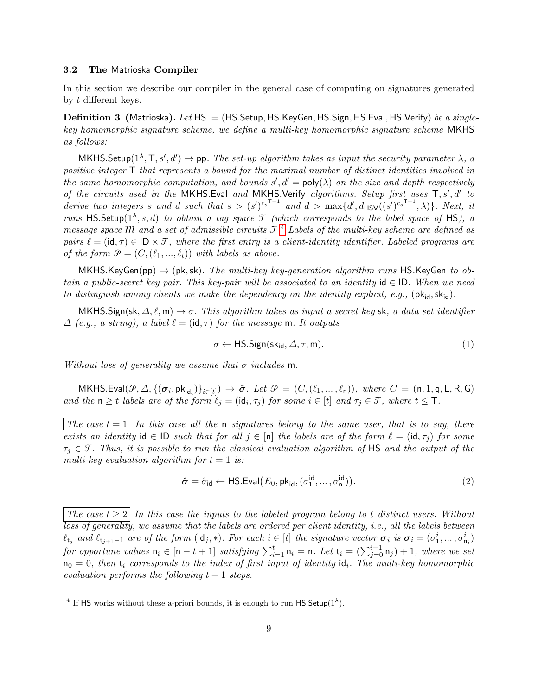## <span id="page-9-0"></span>3.2 The Matrioska Compiler

<span id="page-9-2"></span>In this section we describe our compiler in the general case of computing on signatures generated by t different keys.

**Definition 3** (Matrioska). Let  $HS = (HS. Setup, HS. KeyGen, HS. Sign, HS. eval, HS. Verify)$  be a singlekey homomorphic signature scheme, we define a multi-key homomorphic signature scheme MKHS as follows:

MKHS. Setup $(1^{\lambda}, T, s', d') \rightarrow$  pp. The set-up algorithm takes as input the security parameter  $\lambda$ , a positive integer T that represents a bound for the maximal number of distinct identities involved in the same homomorphic computation, and bounds  $s', d' = \text{poly}(\lambda)$  on the size and depth respectively of the circuits used in the MKHS. Eval and MKHS. Verify algorithms. Setup first uses  $T, s', d'$  to derive two integers s and d such that  $s > (s')^{c_s\tau-1}$  and  $d > \max\{d', d_{\text{HSV}}((s')^{c_s\tau-1}, \lambda)\}\$ . Next, it runs HS.Setup( $1^{\lambda}, s, d$ ) to obtain a tag space T (which corresponds to the label space of HS), a message space M and a set of admissible circuits  $\mathcal{F}.^4$  $\mathcal{F}.^4$  Labels of the multi-key scheme are defined as pairs  $\ell = (\mathsf{id}, \tau) \in \mathsf{ID} \times \mathcal{T}$ , where the first entry is a client-identity identifier. Labeled programs are of the form  $\mathcal{P} = (C, (\ell_1, ..., \ell_t))$  with labels as above.

MKHS.KeyGen(pp)  $\rightarrow$  (pk, sk). The multi-key key-generation algorithm runs HS.KeyGen to obtain a public-secret key pair. This key-pair will be associated to an identity  $id \in ID$ . When we need to distinguish among clients we make the dependency on the identity explicit, e.g.,  $(\mathsf{pk}_{\mathsf{id}}, \mathsf{sk}_{\mathsf{id}})$ .

MKHS. Sign(sk,  $\Delta, \ell, m$ )  $\rightarrow \sigma$ . This algorithm takes as input a secret key sk, a data set identifier  $\Delta$  (e.g., a string), a label  $\ell = (\mathsf{id}, \tau)$  for the message m. It outputs

<span id="page-9-4"></span>
$$
\sigma \leftarrow \mathsf{HS}.Sign(\mathsf{sk}_{\mathsf{id}}, \Delta, \tau, \mathsf{m}).\tag{1}
$$

Without loss of generality we assume that  $\sigma$  includes m.

 $\mathsf{MKHS}.\mathsf{Eval}(\mathcal{P},\varDelta,\{(\bm{\sigma}_i,\mathsf{pk}_{\mathsf{id}_i})\}_{i\in[t]}) \rightarrow \bm{\hat{\sigma}}.\; \mathit{Let} \;\mathcal{P} \,=\, (C,(\ell_1,\ldots,\ell_n)), \; \mathit{where} \; \, C \,=\, (\mathsf{n},1,\mathsf{q},\mathsf{L},\mathsf{R},\mathsf{G})$ and the  $n \geq t$  labels are of the form  $\ell_j = (\mathrm{id}_i, \tau_j)$  for some  $i \in [t]$  and  $\tau_j \in \mathcal{T}$ , where  $t \leq T$ .

The case  $t = 1$  In this case all the n signatures belong to the same user, that is to say, there exists an identity id  $\in$  ID such that for all  $j \in [n]$  the labels are of the form  $\ell = (\text{id}, \tau_j)$  for some  $\tau_i \in \mathcal{T}$ . Thus, it is possible to run the classical evaluation algorithm of HS and the output of the multi-key evaluation algorithm for  $t = 1$  is:

<span id="page-9-3"></span>
$$
\hat{\sigma} = \hat{\sigma}_{\text{id}} \leftarrow \text{HS.Eval}(E_0, \text{pk}_{\text{id}}, (\sigma_1^{\text{id}}, \dots, \sigma_n^{\text{id}})).
$$
\n(2)

The case  $t \geq 2$  In this case the inputs to the labeled program belong to t distinct users. Without loss of generality, we assume that the labels are ordered per client identity, i.e., all the labels between  $\ell_{t_j}$  and  $\ell_{t_{j+1}-1}$  are of the form  $(\mathsf{id}_j, *)$ . For each  $i \in [t]$  the signature vector  $\boldsymbol{\sigma}_i$  is  $\boldsymbol{\sigma}_i = (\sigma_1^i, \dots, \sigma_{n_i}^i)$ for opportune values  $n_i \in [n-t+1]$  satisfying  $\sum_{i=1}^t n_i = n$ . Let  $t_i = (\sum_{j=0}^{i-1} n_j) + 1$ , where we set  $n_0 = 0$ , then  $t_i$  corresponds to the index of first input of identity  $d_i$ . The multi-key homomorphic evaluation performs the following  $t + 1$  steps.

<span id="page-9-1"></span><sup>&</sup>lt;sup>4</sup> If HS works without these a-priori bounds, it is enough to run HS.Setup( $1^{\lambda}$ ).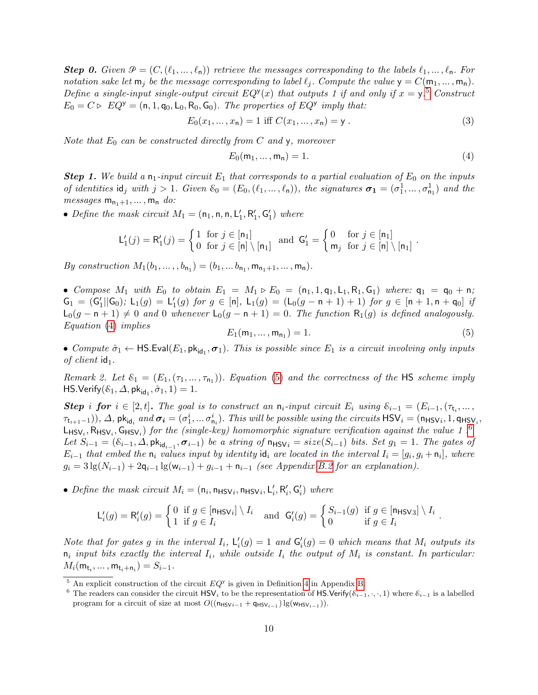**Step 0.** Given  $\mathcal{P} = (C, (\ell_1, \ldots, \ell_n))$  retrieve the messages corresponding to the labels  $\ell_1, \ldots, \ell_n$ . For notation sake let  $m_j$  be the message corresponding to label  $\ell_j$ . Compute the value  $y = C(m_1, ..., m_n)$ . Define a single-input single-output circuit  $EQ^{y}(x)$  that outputs 1 if and only if  $x = y$ .<sup>[5](#page-10-0)</sup> Construct  $E_0 = C \triangleright EQ^y = (n, 1, q_0, L_0, R_0, G_0)$ . The properties of  $EQ^y$  imply that:

<span id="page-10-5"></span>
$$
E_0(x_1, ..., x_n) = 1 \text{ iff } C(x_1, ..., x_n) = y.
$$
\n(3)

Note that  $E_0$  can be constructed directly from C and y, moreover

<span id="page-10-1"></span>
$$
E_0(\mathsf{m}_1, \dots, \mathsf{m}_\mathsf{n}) = 1. \tag{4}
$$

.

**Step 1.** We build a  $n_1$ -input circuit  $E_1$  that corresponds to a partial evaluation of  $E_0$  on the inputs of identities  $\mathsf{id}_j$  with  $j > 1$ . Given  $\mathcal{E}_0 = (E_0, (\ell_1, \ldots, \ell_n))$ , the signatures  $\sigma_1 = (\sigma_1^1, \ldots, \sigma_{n_1}^1)$  and the *messages*  $m_{n_1+1}, \ldots, m_n$  do:

• Define the mask circuit  $M_1 = (\mathsf{n}_1, \mathsf{n}, \mathsf{n}, \mathsf{L}_1', \mathsf{R}_1', \mathsf{G}_1')$  where

$$
\mathsf{L}'_1(j) = \mathsf{R}'_1(j) = \begin{cases} 1 & \text{for } j \in [n_1] \\ 0 & \text{for } j \in [n] \setminus [n_1] \end{cases} \text{ and } \mathsf{G}'_1 = \begin{cases} 0 & \text{for } j \in [n_1] \\ \mathsf{m}_j & \text{for } j \in [n] \setminus [n_1] \end{cases}
$$

*By construction*  $M_1(b_1, ..., b_{n_1}) = (b_1, ... b_{n_1}, m_{n_1+1}, ..., m_n)$ .

• Compose  $M_1$  with  $E_0$  to obtain  $E_1 = M_1 \triangleright E_0 = (n_1, 1, q_1, L_1, R_1, G_1)$  where:  $q_1 = q_0 + n$ ;  $G_1 = (G_1'||G_0);$   $L_1(g) = L_1'(g)$  for  $g \in [n],$   $L_1(g) = (L_0(g - n + 1) + 1)$  for  $g \in [n + 1, n + q_0]$  if  $\mathsf{L}_0(g - \mathsf{n} + 1) \neq 0$  and 0 whenever  $\mathsf{L}_0(g - \mathsf{n} + 1) = 0$ . The function  $\mathsf{R}_1(g)$  is defined analogously. Equation [\(4\)](#page-10-1) implies

<span id="page-10-2"></span>
$$
E_1(m_1, ..., m_{n_1}) = 1.
$$
 (5)

<span id="page-10-4"></span>• Compute  $\hat{\sigma}_1 \leftarrow \textsf{HS}.\textsf{Eval}(E_1, \textsf{pk}_{\textsf{id}_1}, \sigma_1)$ . This is possible since  $E_1$  is a circuit involving only inputs of client  $id_1$ .

Remark 2. Let  $\mathcal{E}_1 = (E_1, (\tau_1, \ldots, \tau_{n_1}))$ . Equation [\(5\)](#page-10-2) and the correctness of the HS scheme imply HS.Verify $(\mathcal{E}_1, \Delta, \mathsf{pk}_{\mathsf{id}_1}, \hat{\sigma}_1, 1) = 1.$ 

**Step i for**  $i \in [2, t]$ . The goal is to construct an  $n_i$ -input circuit  $E_i$  using  $\mathcal{E}_{i-1} = (E_{i-1}, (\tau_{t_i}, \ldots, \tau_{t_i}))$  $(\tau_{t_{i+1}-1})), \Delta$ , pk<sub>id<sub>i</sub> and  $\sigma_i = (\sigma_1^i, \ldots \sigma_{n_i}^i)$ . This will be possible using the circuits  $\textsf{HSV}_i = (\textsf{n}_{\textsf{HSV}_i}, 1, \textsf{q}_{\textsf{HSV}_i}, \ldots, 1, \textsf{n}_{\textsf{INV}_i})$ </sub>  $\mathsf{L}_{\mathsf{HSV}_i}, \mathsf{R}_{\mathsf{HSV}_i}, \mathsf{G}_{\mathsf{HSV}_i}$ ) for the (single-key) homomorphic signature verification against the value 1.<sup>[6](#page-10-3)</sup> Let  $S_{i-1} = (\mathcal{E}_{i-1}, \Delta, \mathsf{pk}_{\mathsf{id}_{i-1}}, \sigma_{i-1})$  be a string of  $\mathsf{n}_{\mathsf{HSV}i} = \mathit{size}(S_{i-1})$  bits. Set  $g_1 = 1$ . The gates of  $E_{i-1}$  that embed the  $n_i$  values input by identity  $id_i$  are located in the interval  $I_i = [g_i, g_i + n_i]$ , where  $g_i = 3 \lg(N_{i-1}) + 2q_{i-1} \lg(w_{i-1}) + g_{i-1} + n_{i-1}$  (see Appendix [B.2](#page-21-0) for an explanation).

• Define the mask circuit  $M_i = (\mathsf{n}_i, \mathsf{n}_{\text{HSV}_i}, \mathsf{n}_{\text{HSV}_i}, \mathsf{L}'_i, \mathsf{R}'_i, \mathsf{G}'_i)$  where

$$
\mathsf{L}'_i(g) = \mathsf{R}'_i(g) = \begin{cases} 0 & \text{if } g \in [\mathsf{n}_{\mathsf{HSV}}] \setminus I_i \\ 1 & \text{if } g \in I_i \end{cases} \quad \text{and} \quad \mathsf{G}'_i(g) = \begin{cases} S_{i-1}(g) & \text{if } g \in [\mathsf{n}_{\mathsf{HSV}}] \setminus I_i \\ 0 & \text{if } g \in I_i \end{cases}.
$$

Note that for gates g in the interval  $I_i$ ,  $L'_i(g) = 1$  and  $G'_i(g) = 0$  which means that  $M_i$  outputs its  $n_i$  input bits exactly the interval  $I_i$ , while outside  $I_i$  the output of  $M_i$  is constant. In particular:  $M_i(\mathsf{m}_{\mathsf{t}_i}, \dots, \mathsf{m}_{\mathsf{t}_i + \mathsf{n}_i}) = S_{i-1}.$ 

<span id="page-10-0"></span><sup>&</sup>lt;sup>5</sup> An explicit construction of the circuit  $EQ^{\gamma}$  is given in Definition [4](#page-17-1) in Appendix [B.](#page-17-2)

<span id="page-10-3"></span><sup>&</sup>lt;sup>6</sup> The readers can consider the circuit HSV<sub>i</sub> to be the representation of HS.Verify( $\mathcal{E}_{i-1}, \cdot, \cdot, 1$ ) where  $\mathcal{E}_{i-1}$  is a labelled program for a circuit of size at most  $O((n_{HSVi-1} + q_{HSV_{i-1}}) \lg(w_{HSV_{i-1}})).$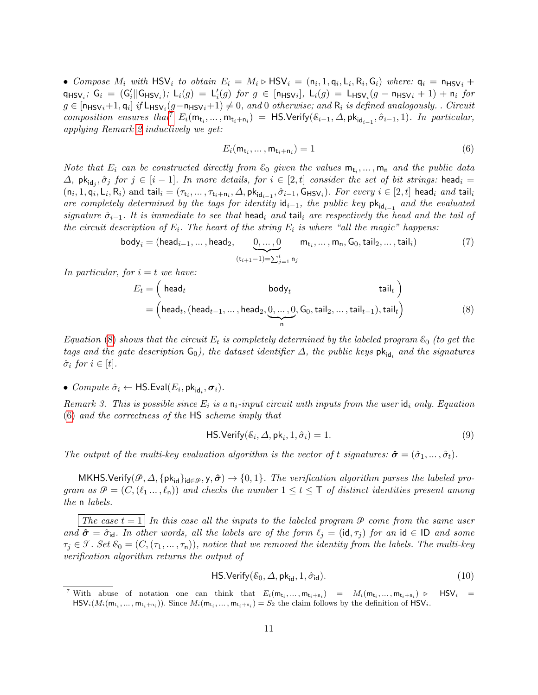• Compose  $M_i$  with  $\text{HSV}_i$  to obtain  $E_i = M_i \triangleright \text{HSV}_i = (\mathsf{n}_i, 1, \mathsf{q}_i, \mathsf{L}_i, \mathsf{R}_i, \mathsf{G}_i)$  where:  $\mathsf{q}_i = \mathsf{n}_{\text{HSV}}_i +$  $\mathsf{q}_{\mathsf{HSV}_i}$ ;  $\mathsf{G}_i = (\mathsf{G}'_i | \mathsf{G}_{\mathsf{HSV}_i})$ ;  $\mathsf{L}_i(g) = \mathsf{L}'_i(g)$  for  $g \in [\mathsf{n}_{\mathsf{HSV}_i}]$ ,  $\mathsf{L}_i(g) = \mathsf{L}_{\mathsf{HSV}_i}(g - \mathsf{n}_{\mathsf{HSV}_i} + 1) + \mathsf{n}_i$  for  $g\in[\mathsf{n}_{\mathsf{HSV}_i}+1,\mathsf{q}_i]$  if  $\mathsf{L}_{\mathsf{HSV}_i}(g-\mathsf{n}_{\mathsf{HSV}_i}+1)\neq 0,$  and  $0$  otherwise; and  $\mathsf{R}_i$  is defined analogously. . Circuit composition ensures that<sup>[7](#page-11-0)</sup>  $E_i(\mathsf{m}_{t_i},...,\mathsf{m}_{t_i+n_i}) = \mathsf{HS}.\mathsf{Verify}(\mathcal{E}_{i-1},\Delta,\mathsf{pk}_{\mathsf{id}_{i-1}},\hat{\sigma}_{i-1},1)$ . In particular, applying Remark [2](#page-10-4) inductively we get:

<span id="page-11-2"></span>
$$
E_i(\mathsf{m}_{\mathsf{t}_i}, \dots, \mathsf{m}_{\mathsf{t}_i + \mathsf{n}_i}) = 1 \tag{6}
$$

Note that  $E_i$  can be constructed directly from  $\mathcal{E}_0$  given the values  $\mathsf{m}_{\mathsf{t}_i}, \dots, \mathsf{m}_{\mathsf{n}}$  and the public data  $\Delta$ , pk<sub>id<sub>j</sub>,  $\hat{\sigma}_j$  for  $j \in [i-1]$ . In more details, for  $i \in [2, t]$  consider the set of bit strings:  $\mathsf{head}_i =$ </sub>  $(n_i, 1, q_i, L_i, R_i)$  and tail $i = (\tau_{t_i}, \dots, \tau_{t_i+n_i}, \Delta, \mathsf{pk}_{\mathsf{id}_{i-1}}, \hat{\sigma}_{i-1}, \mathsf{G}_{\mathsf{HSV}_i})$ . For every  $i \in [2, t]$  head<sub>i</sub> and tail<sub>i</sub> are completely determined by the tags for identity  $\mathsf{id}_{i-1}$ , the public key  $\mathsf{pk}_{\mathsf{id}_{i-1}}$  and the evaluated signature  $\hat{\sigma}_{i-1}$ . It is immediate to see that head<sub>i</sub> and tail<sub>i</sub> are respectively the head and the tail of the circuit description of  $E_i$ . The heart of the string  $E_i$  is where "all the magic" happens:

<span id="page-11-4"></span>
$$
\text{body}_i = (\text{head}_{i-1}, \dots, \text{head}_2, \underbrace{0, \dots, 0}_{(\mathsf{t}_{i+1}-1)=\sum_{j=1}^i \mathsf{n}_j} \mathsf{m}_{\mathsf{t}_i}, \dots, \mathsf{m}_{\mathsf{n}}, \mathsf{G}_0, \mathsf{tail}_2, \dots, \mathsf{tail}_i) \tag{7}
$$

In particular, for  $i = t$  we have:

<span id="page-11-1"></span>
$$
E_t = \begin{pmatrix} head_t & body_t & tail_t \end{pmatrix}
$$
  
= 
$$
\begin{pmatrix} head_t, (head_{t-1}, ..., head_2, \underbrace{0, ..., 0}_{n}, G_0, tail_2, ..., tail_{t-1}), tail_t \end{pmatrix}
$$
 (8)

Equation [\(8\)](#page-11-1) shows that the circuit  $E_t$  is completely determined by the labeled program  $\varepsilon_0$  (to get the tags and the gate description  $\mathsf{G}_0$ ), the dataset identifier  $\Delta$ , the public keys  $\mathsf{pk}_{\mathsf{id}_i}$  and the signatures  $\hat{\sigma}_i$  for  $i \in [t]$ .

•  $Compute \hat{\sigma}_i \leftarrow \mathsf{HS}.\mathsf{Eval}(E_i, \mathsf{pk}_{\mathsf{id}_i}, \sigma_i).$ 

Remark 3. This is possible since  $E_i$  is a  $n_i$ -input circuit with inputs from the user  $\mathsf{id}_i$  only. Equation [\(6\)](#page-11-2) and the correctness of the HS scheme imply that

$$
\mathsf{HS}.\mathsf{Verify}(\mathcal{E}_i, \Delta, \mathsf{pk}_i, 1, \hat{\sigma}_i) = 1. \tag{9}
$$

The output of the multi-key evaluation algorithm is the vector of t signatures:  $\hat{\sigma} = (\hat{\sigma}_1, \dots, \hat{\sigma}_t)$ .

MKHS.Verify( $\mathcal{P}, \Delta, \{pk_{id}\}_{id\in\mathcal{P}}, y, \hat{\sigma} \} \to \{0, 1\}$ . The verification algorithm parses the labeled program as  $\mathcal{P} = (C, (\ell_1, \ldots, \ell_n))$  and checks the number  $1 \leq t \leq \mathsf{T}$  of distinct identities present among the n labels.

The case  $t = 1$  In this case all the inputs to the labeled program  $P$  come from the same user and  $\hat{\sigma} = \hat{\sigma}_{id}$ . In other words, all the labels are of the form  $\ell_j = (id, \tau_j)$  for an id  $\in$  ID and some  $\tau_i \in \mathcal{T}$ . Set  $\mathcal{E}_0 = (C, (\tau_1, \ldots, \tau_n))$ , notice that we removed the identity from the labels. The multi-key verification algorithm returns the output of

<span id="page-11-3"></span>
$$
\mathsf{HS}.\mathsf{Verify}(\mathcal{E}_0, \Delta, \mathsf{pk}_{\mathsf{id}}, 1, \hat{\sigma}_{\mathsf{id}}). \tag{10}
$$

<span id="page-11-0"></span><sup>&</sup>lt;sup>7</sup> With abuse of notation one can think that  $E_i(m_{t_i},...,m_{t_i+n_i}) = M_i(m_{t_i},...,m_{t_i+n_i})$  $HSV_i =$  $\mathsf{HSV}_i(M_i(\mathsf{m}_{\mathsf{t}_i},\ldots,\mathsf{m}_{\mathsf{t}_i+\mathsf{n}_i}))$ . Since  $M_i(\mathsf{m}_{\mathsf{t}_i},\ldots,\mathsf{m}_{\mathsf{t}_i+\mathsf{n}_i})=S_2$  the claim follows by the definition of  $\mathsf{HSV}_i$ .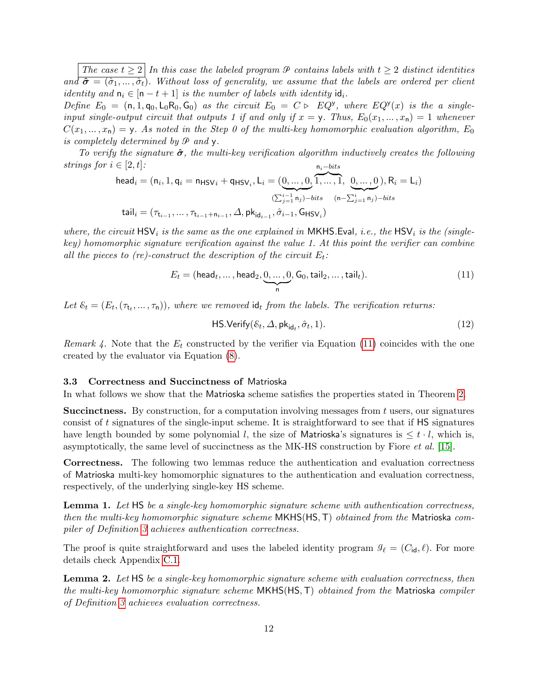The case  $t \geq 2 \mid In$  this case the labeled program  $\mathcal P$  contains labels with  $t \geq 2$  distinct identities and  $\hat{\sigma} = (\hat{\sigma}_1, ..., \hat{\sigma}_t)$ . Without loss of generality, we assume that the labels are ordered per client identity and  $n_i \in [n-t+1]$  is the number of labels with identity  $id_i$ .

Define  $E_0 = (n, 1, q_0, L_0 R_0, G_0)$  as the circuit  $E_0 = C \triangleright EQ^y$ , where  $EQ^y(x)$  is the a singleinput single-output circuit that outputs 1 if and only if  $x = y$ . Thus,  $E_0(x_1, ..., x_n) = 1$  whenever  $C(x_1, ..., x_n) = y$ . As noted in the Step 0 of the multi-key homomorphic evaluation algorithm,  $E_0$ is completely determined by  $\mathcal P$  and  $\mathsf v$ .

To verify the signature  $\hat{\sigma}$ , the multi-key verification algorithm inductively creates the following strings for  $i \in [2, t]$ :  $n_i - bits$ 

<span id="page-12-0"></span>
$$
\text{head}_{i} = (\mathbf{n}_{i}, 1, \mathbf{q}_{i} = \mathbf{n}_{\text{HSV}_{i}} + \mathbf{q}_{\text{HSV}_{i}}, \mathbf{L}_{i} = (\underbrace{0, \dots, 0}_{(\sum_{j=1}^{i-1} \mathbf{n}_{j}) - bits}, \underbrace{0, \dots, 0}_{(\mathbf{n} - \sum_{j=1}^{i} \mathbf{n}_{j}) - bits}), \mathbf{R}_{i} = \mathbf{L}_{i})
$$
\n
$$
\text{tail}_{i} = (\tau_{\mathbf{t}_{i-1}}, \dots, \tau_{\mathbf{t}_{i-1} + \mathbf{n}_{i-1}}, \Delta, \mathsf{pk}_{\text{id}_{i-1}}, \hat{\sigma}_{i-1}, \mathsf{G}_{\text{HSV}_{i}})
$$

where, the circuit  $\text{HSV}_i$  is the same as the one explained in MKHS.Eval, i.e., the HSV<sub>i</sub> is the (singlekey) homomorphic signature verification against the value 1. At this point the verifier can combine all the pieces to (re)-construct the description of the circuit  $E_t$ :

$$
E_t = (\text{head}_t, \dots, \text{head}_2, \underbrace{0, \dots, 0}_{n}, G_0, \text{tail}_2, \dots, \text{tail}_t). \tag{11}
$$

Let  $\mathcal{E}_t = (E_t, (\tau_t, \dots, \tau_n))$ , where we removed  $\mathsf{id}_t$  from the labels. The verification returns:

<span id="page-12-2"></span>
$$
\mathsf{HS}.\mathsf{Verify}(\mathcal{E}_t, \Delta, \mathsf{pk}_{\mathsf{id}_t}, \hat{\sigma}_t, 1). \tag{12}
$$

Remark 4. Note that the  $E_t$  constructed by the verifier via Equation [\(11\)](#page-12-0) coincides with the one created by the evaluator via Equation [\(8\)](#page-11-1).

## 3.3 Correctness and Succinctness of Matrioska

In what follows we show that the Matrioska scheme satisfies the properties stated in Theorem [2.](#page-7-1)

**Succinctness.** By construction, for a computation involving messages from  $t$  users, our signatures consist of t signatures of the single-input scheme. It is straightforward to see that if HS signatures have length bounded by some polynomial l, the size of Matrioska's signatures is  $\leq t \cdot l$ , which is, asymptotically, the same level of succinctness as the MK-HS construction by Fiore et al. [\[15\]](#page-15-16).

Correctness. The following two lemmas reduce the authentication and evaluation correctness of Matrioska multi-key homomorphic signatures to the authentication and evaluation correctness, respectively, of the underlying single-key HS scheme.

<span id="page-12-1"></span>Lemma 1. Let HS be a single-key homomorphic signature scheme with authentication correctness, then the multi-key homomorphic signature scheme  $MKHS(HS, T)$  obtained from the Matrioska compiler of Definition [3](#page-9-2) achieves authentication correctness.

The proof is quite straightforward and uses the labeled identity program  $\mathcal{I}_{\ell} = (C_{\mathsf{id}}, \ell)$ . For more details check Appendix [C.1.](#page-23-0)

**Lemma 2.** Let HS be a single-key homomorphic signature scheme with evaluation correctness, then the multi-key homomorphic signature scheme MKHS(HS,T) obtained from the Matrioska compiler of Definition [3](#page-9-2) achieves evaluation correctness.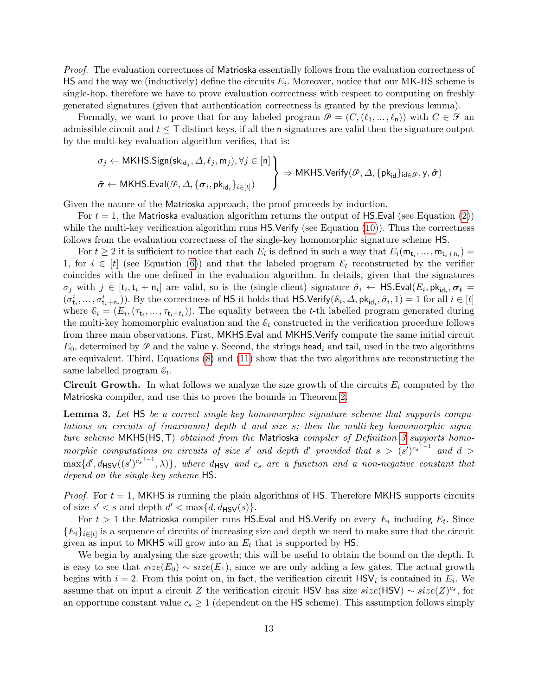Proof. The evaluation correctness of Matrioska essentially follows from the evaluation correctness of  $\mathsf{HS}$  and the way we (inductively) define the circuits  $E_i$ . Moreover, notice that our MK-HS scheme is single-hop, therefore we have to prove evaluation correctness with respect to computing on freshly generated signatures (given that authentication correctness is granted by the previous lemma).

Formally, we want to prove that for any labeled program  $\mathcal{P} = (C,(\ell_1, ..., \ell_n))$  with  $C \in \mathcal{F}$  an admissible circuit and  $t \leq T$  distinct keys, if all the n signatures are valid then the signature output by the multi-key evaluation algorithm verifies, that is:

$$
\sigma_j \leftarrow \mathsf{MKHS}.\mathsf{Sign}(\mathsf{sk}_{\mathsf{id}_j}, \Delta, \ell_j, \mathsf{m}_j), \forall j \in [n] \bigg\}
$$
  

$$
\hat{\sigma} \leftarrow \mathsf{MKHS}.\mathsf{Eval}(\mathcal{P}, \Delta, \{\sigma_i, \mathsf{pk}_{\mathsf{id}_i}\}_{i \in [t]}) \bigg\}
$$
  

$$
\Rightarrow \mathsf{MKHS}.\mathsf{Verify}(\mathcal{P}, \Delta, \{\mathsf{pk}_{\mathsf{id}}\}_{\mathsf{id} \in \mathcal{P}}, \mathsf{y}, \hat{\sigma})
$$

Given the nature of the Matrioska approach, the proof proceeds by induction.

For  $t = 1$ , the Matrioska evaluation algorithm returns the output of HS. Eval (see Equation [\(2\)](#page-9-3)) while the multi-key verification algorithm runs HS.Verify (see Equation [\(10\)](#page-11-3)). Thus the correctness follows from the evaluation correctness of the single-key homomorphic signature scheme HS.

For  $t \geq 2$  it is sufficient to notice that each  $E_i$  is defined in such a way that  $E_i(\mathsf{m}_{\mathsf{t}_i},...,\mathsf{m}_{\mathsf{t}_i+\mathsf{n}_i}) =$ 1, for  $i \in [t]$  (see Equation [\(6\)](#page-11-2)) and that the labeled program  $\mathcal{E}_t$  reconstructed by the verifier coincides with the one defined in the evaluation algorithm. In details, given that the signatures  $\sigma_j$  with  $j \in [t_i, t_i + n_i]$  are valid, so is the (single-client) signature  $\hat{\sigma}_i \leftarrow \textsf{HS.Eval}(E_i, \textsf{pk}_{\textsf{id}_i}, \sigma_i =$  $(\sigma_{t_i}^i, \ldots, \sigma_{t_i+n_i}^i)$ ). By the correctness of HS it holds that HS.Verify $(\mathcal{E}_i, \Delta, \mathsf{pk}_{\mathsf{id}_i}, \hat{\sigma}_i, 1) = 1$  for all  $i \in [t]$ where  $\hat{\varepsilon}_i = (E_i, (\tau_{t_i}, \dots, \tau_{t_i+t_i}))$ . The equality between the t-th labelled program generated during the multi-key homomorphic evaluation and the  $\mathcal{E}_t$  constructed in the verification procedure follows from three main observations. First, MKHS.Eval and MKHS.Verify compute the same initial circuit  $E_0$ , determined by  $\mathcal P$  and the value y. Second, the strings head<sub>i</sub> and tail<sub>i</sub> used in the two algorithms are equivalent. Third, Equations [\(8\)](#page-11-1) and [\(11\)](#page-12-0) show that the two algorithms are reconstructing the same labelled program  $\varepsilon_t$ .

<span id="page-13-0"></span>**Circuit Growth.** In what follows we analyze the size growth of the circuits  $E_i$  computed by the Matrioska compiler, and use this to prove the bounds in Theorem [2.](#page-7-1)

**Lemma 3.** Let HS be a correct single-key homomorphic signature scheme that supports computations on circuits of (maximum) depth d and size s; then the multi-key homomorphic signa-ture scheme MKHS(HS, T) obtained from the Matrioska compiler of Definition [3](#page-9-2) supports homomorphic computations on circuits of size s' and depth d' provided that  $s > (s')^{c_s^{-1}}$  and  $d >$  $\max\{d',d_{\textsf{HSV}}((s')^{c_s\textsf{T}-1},\lambda)\},$  where  $d_{\textsf{HSV}}$  and  $c_s$  are a function and a non-negative constant that depend on the single-key scheme HS.

*Proof.* For  $t = 1$ , MKHS is running the plain algorithms of HS. Therefore MKHS supports circuits of size  $s' < s$  and depth  $d' < \max\{d, d_{\mathsf{HSV}}(s)\}.$ 

For  $t>1$  the Matrioska compiler runs <code>HS.Eval</code> and <code>HS.Verify</code> on every  $E_i$  including  $E_t.$  Since  ${E_i}_{i\in[t]}$  is a sequence of circuits of increasing size and depth we need to make sure that the circuit given as input to MKHS will grow into an  $E_t$  that is supported by HS.

We begin by analysing the size growth; this will be useful to obtain the bound on the depth. It is easy to see that  $size(E_0) \sim size(E_1)$ , since we are only adding a few gates. The actual growth begins with  $i = 2$ . From this point on, in fact, the verification circuit  $\text{HSV}_i$  is contained in  $E_i$ . We assume that on input a circuit Z the verification circuit HSV has size  $size(\text{HSV}) \sim size(Z)^{c_s}$ , for an opportune constant value  $c_s \geq 1$  (dependent on the HS scheme). This assumption follows simply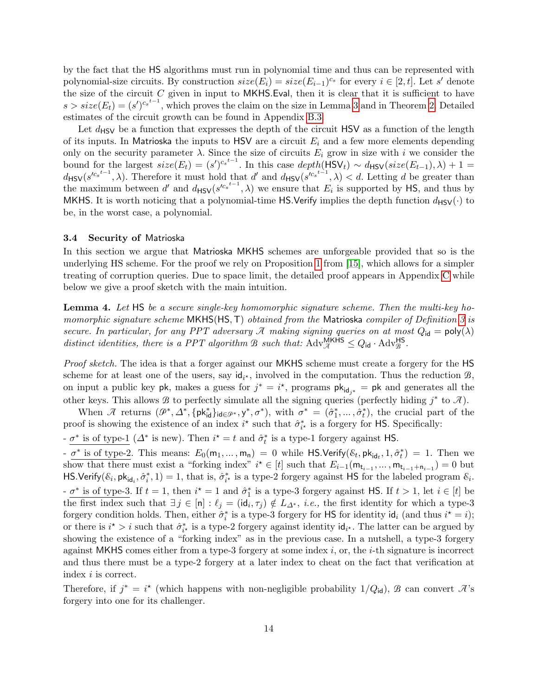by the fact that the HS algorithms must run in polynomial time and thus can be represented with polynomial-size circuits. By construction  $size(E_i) = size(E_{i-1})^{c_s}$  for every  $i \in [2, t]$ . Let s' denote the size of the circuit  $C$  given in input to MKHS. Eval, then it is clear that it is sufficient to have  $s > size(E_t) = (s')^{c_s t-1}$ , which proves the claim on the size in Lemma [3](#page-13-0) and in Theorem [2.](#page-7-1) Detailed estimates of the circuit growth can be found in Appendix [B.3.](#page-22-0)

Let  $d_{\rm HSV}$  be a function that expresses the depth of the circuit HSV as a function of the length of its inputs. In Matrioska the inputs to HSV are a circuit  $E_i$  and a few more elements depending only on the security parameter  $\lambda$ . Since the size of circuits  $E_i$  grow in size with i we consider the bound for the largest  $size(E_t) = (s')^{c_s^{t-1}}$ . In this case  $depth(\text{HSV}_t) \sim d_{\text{HSV}}(size(E_{t-1}), \lambda) + 1 =$  $d_{\text{HSV}}(s'^{c_s^{t-1}}, \lambda)$ . Therefore it must hold that d' and  $d_{\text{HSV}}(s'^{c_s^{t-1}}, \lambda) < d$ . Letting d be greater than the maximum between d' and  $d_{\text{HSV}}(s^{rc_s^{t-1}}, \lambda)$  we ensure that  $E_i$  is supported by HS, and thus by MKHS. It is worth noticing that a polynomial-time HS.Verify implies the depth function  $d_{\text{HSV}}(\cdot)$  to be, in the worst case, a polynomial.

## 3.4 Security of Matrioska

In this section we argue that Matrioska MKHS schemes are unforgeable provided that so is the underlying HS scheme. For the proof we rely on Proposition [1](#page-6-0) from [\[15\]](#page-15-16), which allows for a simpler treating of corruption queries. Due to space limit, the detailed proof appears in Appendix [C](#page-23-1) while below we give a proof sketch with the main intuition.

<span id="page-14-0"></span>Lemma 4. Let HS be a secure single-key homomorphic signature scheme. Then the multi-key ho-momorphic signature scheme MKHS(HS, T) obtained from the Matrioska compiler of Definition [3](#page-9-2) is secure. In particular, for any PPT adversary  $\mathcal A$  making signing queries on at most  $Q_{id} = \text{poly}(\lambda)$ distinct identities, there is a PPT algorithm B such that:  $\text{Adv}_{\mathcal{A}}^{\text{MKHS}} \leq Q_{\text{id}} \cdot \text{Adv}_{\mathcal{B}}^{\text{HS}}$ .

Proof sketch. The idea is that a forger against our MKHS scheme must create a forgery for the HS scheme for at least one of the users, say  $\mathsf{id}_{i^*}$ , involved in the computation. Thus the reduction  $\mathcal{B}$ , on input a public key pk, makes a guess for  $j^* = i^*$ , programs  $\mathsf{pk}_{\mathsf{id}_{j^*}} = \mathsf{pk}$  and generates all the other keys. This allows B to perfectly simulate all the signing queries (perfectly hiding  $j^*$  to  $\mathcal{A}$ ).

When  $\mathcal{A}$  returns  $(\mathcal{P}^*, \Delta^*, \{\mathsf{pk}^*_{\mathsf{id}}\}_{\mathsf{id}\in\mathcal{P}^*}, \mathsf{y}^*, \sigma^*)$ , with  $\sigma^* = (\hat{\sigma}_1^*, \dots, \hat{\sigma}_t^*)$ , the crucial part of the proof is showing the existence of an index  $i^*$  such that  $\hat{\sigma}_{i^*}^*$  is a forgery for HS. Specifically:

 $-\sigma^*$  is of type-1 ( $\Delta^*$  is new). Then  $i^* = t$  and  $\hat{\sigma}_t^*$  is a type-1 forgery against HS.

 $-\sigma^*$  is of type-2. This means:  $E_0(m_1,...,m_n) = 0$  while HS.Verify( $\mathcal{E}_t$ ,  $pk_{id_t}$ ,  $1, \hat{\sigma}_t^*$ ) = 1. Then we show that there must exist a "forking index"  $i^* \in [t]$  such that  $E_{i-1}(\mathsf{m}_{t_{i-1}},...,\mathsf{m}_{t_{i-1}+\mathsf{n}_{i-1}}) = 0$  but HS.Verify( $\mathcal{E}_i$ ,  $pk_{id_i}$ ,  $\hat{\sigma}_i^*$ , 1) = 1, that is,  $\hat{\sigma}_i^*$  is a type-2 forgery against HS for the labeled program  $\mathcal{E}_i$ .  $-\sigma^*$  is of type-3. If  $t=1$ , then  $i^*=1$  and  $\hat{\sigma}_1^*$  is a type-3 forgery against HS. If  $t>1$ , let  $i\in[t]$  be the first index such that  $\exists j \in [n] : \ell_j = (id_i, \tau_j) \notin L_{\Delta^*}, i.e.,$  the first identity for which a type-3 forgery condition holds. Then, either  $\hat{\sigma}_i^*$  is a type-3 forgery for HS for identity  $\mathsf{id}_i$  (and thus  $i^* = i$ ); or there is  $i^* > i$  such that  $\hat{\sigma}_{i^*}^*$  is a type-2 forgery against identity  $\mathsf{id}_{i^*}$ . The latter can be argued by showing the existence of a "forking index" as in the previous case. In a nutshell, a type-3 forgery against MKHS comes either from a type-3 forgery at some index  $i$ , or, the  $i$ -th signature is incorrect and thus there must be a type-2 forgery at a later index to cheat on the fact that verification at index i is correct.

Therefore, if  $j^* = i^*$  (which happens with non-negligible probability  $1/Q_{id}$ ),  $\hat{B}$  can convert  $\hat{A}$ 's forgery into one for its challenger.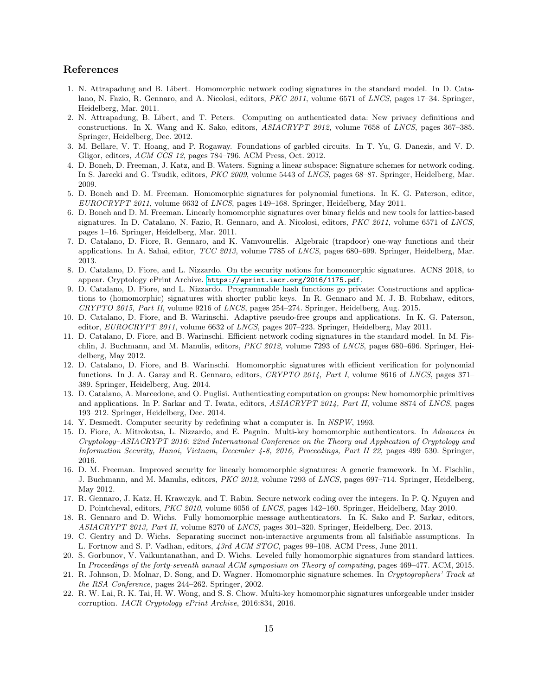# References

- <span id="page-15-5"></span>1. N. Attrapadung and B. Libert. Homomorphic network coding signatures in the standard model. In D. Catalano, N. Fazio, R. Gennaro, and A. Nicolosi, editors, PKC 2011, volume 6571 of LNCS, pages 17–34. Springer, Heidelberg, Mar. 2011.
- <span id="page-15-9"></span>2. N. Attrapadung, B. Libert, and T. Peters. Computing on authenticated data: New privacy definitions and constructions. In X. Wang and K. Sako, editors, ASIACRYPT 2012, volume 7658 of LNCS, pages 367–385. Springer, Heidelberg, Dec. 2012.
- <span id="page-15-19"></span>3. M. Bellare, V. T. Hoang, and P. Rogaway. Foundations of garbled circuits. In T. Yu, G. Danezis, and V. D. Gligor, editors, ACM CCS 12, pages 784–796. ACM Press, Oct. 2012.
- <span id="page-15-2"></span>4. D. Boneh, D. Freeman, J. Katz, and B. Waters. Signing a linear subspace: Signature schemes for network coding. In S. Jarecki and G. Tsudik, editors, PKC 2009, volume 5443 of LNCS, pages 68–87. Springer, Heidelberg, Mar. 2009.
- <span id="page-15-13"></span>5. D. Boneh and D. M. Freeman. Homomorphic signatures for polynomial functions. In K. G. Paterson, editor, EUROCRYPT 2011, volume 6632 of LNCS, pages 149–168. Springer, Heidelberg, May 2011.
- <span id="page-15-4"></span>6. D. Boneh and D. M. Freeman. Linearly homomorphic signatures over binary fields and new tools for lattice-based signatures. In D. Catalano, N. Fazio, R. Gennaro, and A. Nicolosi, editors, PKC 2011, volume 6571 of LNCS, pages 1–16. Springer, Heidelberg, Mar. 2011.
- <span id="page-15-10"></span>7. D. Catalano, D. Fiore, R. Gennaro, and K. Vamvourellis. Algebraic (trapdoor) one-way functions and their applications. In A. Sahai, editor, TCC 2013, volume 7785 of LNCS, pages 680–699. Springer, Heidelberg, Mar. 2013.
- <span id="page-15-21"></span>8. D. Catalano, D. Fiore, and L. Nizzardo. On the security notions for homomorphic signatures. ACNS 2018, to appear. Cryptology ePrint Archive. <https://eprint.iacr.org/2016/1175.pdf>.
- <span id="page-15-12"></span>9. D. Catalano, D. Fiore, and L. Nizzardo. Programmable hash functions go private: Constructions and applications to (homomorphic) signatures with shorter public keys. In R. Gennaro and M. J. B. Robshaw, editors, CRYPTO 2015, Part II, volume 9216 of LNCS, pages 254–274. Springer, Heidelberg, Aug. 2015.
- <span id="page-15-6"></span>10. D. Catalano, D. Fiore, and B. Warinschi. Adaptive pseudo-free groups and applications. In K. G. Paterson, editor, EUROCRYPT 2011, volume 6632 of LNCS, pages 207-223. Springer, Heidelberg, May 2011.
- <span id="page-15-7"></span>11. D. Catalano, D. Fiore, and B. Warinschi. Efficient network coding signatures in the standard model. In M. Fischlin, J. Buchmann, and M. Manulis, editors, PKC 2012, volume 7293 of LNCS, pages 680–696. Springer, Heidelberg, May 2012.
- <span id="page-15-14"></span>12. D. Catalano, D. Fiore, and B. Warinschi. Homomorphic signatures with efficient verification for polynomial functions. In J. A. Garay and R. Gennaro, editors, CRYPTO 2014, Part I, volume 8616 of LNCS, pages 371– 389. Springer, Heidelberg, Aug. 2014.
- <span id="page-15-11"></span>13. D. Catalano, A. Marcedone, and O. Puglisi. Authenticating computation on groups: New homomorphic primitives and applications. In P. Sarkar and T. Iwata, editors, ASIACRYPT 2014, Part II, volume 8874 of LNCS, pages 193–212. Springer, Heidelberg, Dec. 2014.
- <span id="page-15-0"></span>14. Y. Desmedt. Computer security by redefining what a computer is. In NSPW, 1993.
- <span id="page-15-16"></span>15. D. Fiore, A. Mitrokotsa, L. Nizzardo, and E. Pagnin. Multi-key homomorphic authenticators. In Advances in Cryptology–ASIACRYPT 2016: 22nd International Conference on the Theory and Application of Cryptology and Information Security, Hanoi, Vietnam, December 4-8, 2016, Proceedings, Part II 22, pages 499–530. Springer, 2016.
- <span id="page-15-8"></span>16. D. M. Freeman. Improved security for linearly homomorphic signatures: A generic framework. In M. Fischlin, J. Buchmann, and M. Manulis, editors, *PKC 2012*, volume 7293 of *LNCS*, pages 697–714. Springer, Heidelberg, May 2012.
- <span id="page-15-3"></span>17. R. Gennaro, J. Katz, H. Krawczyk, and T. Rabin. Secure network coding over the integers. In P. Q. Nguyen and D. Pointcheval, editors, *PKC 2010*, volume 6056 of *LNCS*, pages 142–160. Springer, Heidelberg, May 2010.
- <span id="page-15-20"></span>18. R. Gennaro and D. Wichs. Fully homomorphic message authenticators. In K. Sako and P. Sarkar, editors, ASIACRYPT 2013, Part II, volume 8270 of LNCS, pages 301–320. Springer, Heidelberg, Dec. 2013.
- <span id="page-15-18"></span>19. C. Gentry and D. Wichs. Separating succinct non-interactive arguments from all falsifiable assumptions. In L. Fortnow and S. P. Vadhan, editors, 43rd ACM STOC, pages 99–108. ACM Press, June 2011.
- <span id="page-15-15"></span>20. S. Gorbunov, V. Vaikuntanathan, and D. Wichs. Leveled fully homomorphic signatures from standard lattices. In Proceedings of the forty-seventh annual ACM symposium on Theory of computing, pages 469–477. ACM, 2015.
- <span id="page-15-1"></span>21. R. Johnson, D. Molnar, D. Song, and D. Wagner. Homomorphic signature schemes. In Cryptographers' Track at the RSA Conference, pages 244–262. Springer, 2002.
- <span id="page-15-17"></span>22. R. W. Lai, R. K. Tai, H. W. Wong, and S. S. Chow. Multi-key homomorphic signatures unforgeable under insider corruption. IACR Cryptology ePrint Archive, 2016:834, 2016.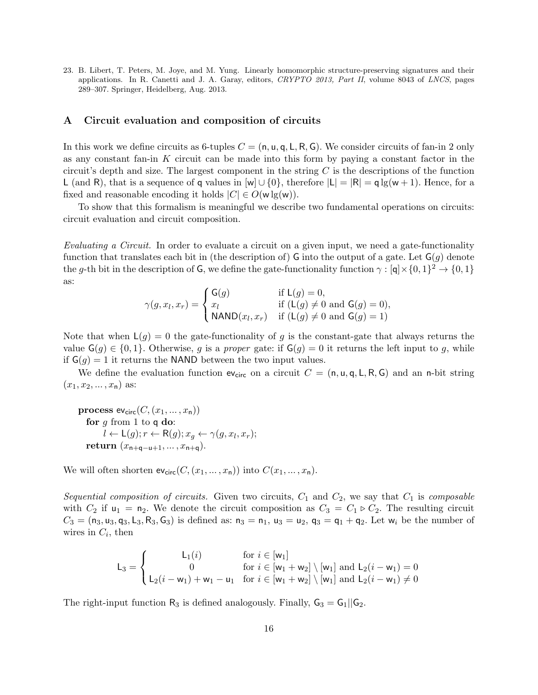<span id="page-16-0"></span>23. B. Libert, T. Peters, M. Joye, and M. Yung. Linearly homomorphic structure-preserving signatures and their applications. In R. Canetti and J. A. Garay, editors, CRYPTO 2013, Part II, volume 8043 of LNCS, pages 289–307. Springer, Heidelberg, Aug. 2013.

# <span id="page-16-1"></span>A Circuit evaluation and composition of circuits

In this work we define circuits as 6-tuples  $C = (\mathsf{n}, \mathsf{u}, \mathsf{q}, \mathsf{L}, \mathsf{R}, \mathsf{G})$ . We consider circuits of fan-in 2 only as any constant fan-in  $K$  circuit can be made into this form by paying a constant factor in the circuit's depth and size. The largest component in the string  $C$  is the descriptions of the function L (and R), that is a sequence of q values in  $[w] \cup \{0\}$ , therefore  $|L| = |R| = q \lg(w + 1)$ . Hence, for a fixed and reasonable encoding it holds  $|C| \in O(w \lg(w))$ .

To show that this formalism is meaningful we describe two fundamental operations on circuits: circuit evaluation and circuit composition.

Evaluating a Circuit. In order to evaluate a circuit on a given input, we need a gate-functionality function that translates each bit in (the description of) G into the output of a gate. Let  $G(g)$  denote the g-th bit in the description of G, we define the gate-functionality function  $\gamma : [q] \times \{0, 1\}^2 \to \{0, 1\}$ as:

$$
\gamma(g, x_l, x_r) = \begin{cases} \mathsf{G}(g) & \text{if } \mathsf{L}(g) = 0, \\ x_l & \text{if } (\mathsf{L}(g) \neq 0 \text{ and } \mathsf{G}(g) = 0), \\ \mathsf{NAND}(x_l, x_r) & \text{if } (\mathsf{L}(g) \neq 0 \text{ and } \mathsf{G}(g) = 1) \end{cases}
$$

Note that when  $L(g) = 0$  the gate-functionality of g is the constant-gate that always returns the value  $\mathsf{G}(g) \in \{0,1\}$ . Otherwise, g is a proper gate: if  $\mathsf{G}(g) = 0$  it returns the left input to g, while if  $G(q) = 1$  it returns the NAND between the two input values.

We define the evaluation function  $ev_{\text{circ}}$  on a circuit  $C = (n, u, q, L, R, G)$  and an n-bit string  $(x_1, x_2, \ldots, x_n)$  as:

process  $ev_{\text{circ}}(C,(x_1,...,x_n))$ for  $g$  from 1 to  $q$  do:  $l \leftarrow \mathsf{L}(g); r \leftarrow \mathsf{R}(g); x_g \leftarrow \gamma(g, x_l, x_r);$ return  $(x_{n+a-u+1},...,x_{n+a}).$ 

We will often shorten  $ev_{\text{circ}}(C,(x_1,...,x_n))$  into  $C(x_1,...,x_n)$ .

Sequential composition of circuits. Given two circuits,  $C_1$  and  $C_2$ , we say that  $C_1$  is composable with  $C_2$  if  $u_1 = n_2$ . We denote the circuit composition as  $C_3 = C_1 \triangleright C_2$ . The resulting circuit  $C_3 = (n_3, u_3, q_3, L_3, R_3, G_3)$  is defined as:  $n_3 = n_1$ ,  $u_3 = u_2$ ,  $q_3 = q_1 + q_2$ . Let  $w_i$  be the number of wires in  $C_i$ , then

$$
L_3 = \begin{cases} L_1(i) & \text{for } i \in [w_1] \\ 0 & \text{for } i \in [w_1 + w_2] \setminus [w_1] \text{ and } L_2(i - w_1) = 0 \\ L_2(i - w_1) + w_1 - u_1 & \text{for } i \in [w_1 + w_2] \setminus [w_1] \text{ and } L_2(i - w_1) \neq 0 \end{cases}
$$

The right-input function  $R_3$  is defined analogously. Finally,  $G_3 = G_1 || G_2$ .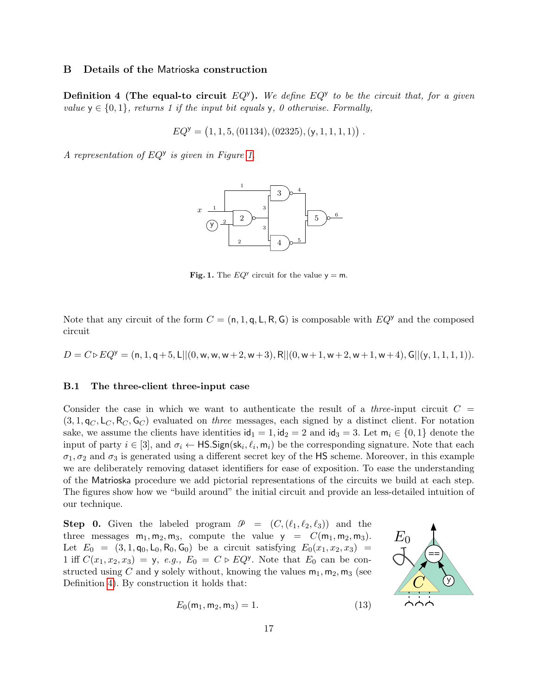# <span id="page-17-2"></span>B Details of the Matrioska construction

<span id="page-17-1"></span>**Definition 4 (The equal-to circuit**  $EQ<sup>y</sup>$ ). We define  $EQ<sup>y</sup>$  to be the circuit that, for a given value  $y \in \{0, 1\}$ , returns 1 if the input bit equals y, 0 otherwise. Formally,

$$
EQ^{\mathsf{y}} = (1, 1, 5, (01134), (02325), (\mathsf{y}, 1, 1, 1, 1))
$$
.

A representation of  $EQ<sup>y</sup>$  is given in Figure [1.](#page-17-3)



<span id="page-17-3"></span>Fig. 1. The  $EQ^y$  circuit for the value  $y = m$ .

Note that any circuit of the form  $C = (n, 1, q, L, R, G)$  is composable with  $EQ<sup>y</sup>$  and the composed circuit

 $D = C \triangleright EQ^{y} = (n, 1, q+5, L||(0, w, w+2, w+3), R||(0, w+1, w+2, w+1, w+4), G||(y, 1, 1, 1, 1)).$ 

#### <span id="page-17-0"></span>B.1 The three-client three-input case

Consider the case in which we want to authenticate the result of a *three*-input circuit  $C =$  $(3, 1, q_C, L_C, R_C, G_C)$  evaluated on three messages, each signed by a distinct client. For notation sake, we assume the clients have identities  $\mathsf{id}_1 = 1$ ,  $\mathsf{id}_2 = 2$  and  $\mathsf{id}_3 = 3$ . Let  $\mathsf{m}_i \in \{0,1\}$  denote the input of party  $i \in [3]$ , and  $\sigma_i \leftarrow \textsf{HS}.$  Sign(sk<sub>i</sub>,  $\ell_i, \mathsf{m}_i$ ) be the corresponding signature. Note that each  $\sigma_1, \sigma_2$  and  $\sigma_3$  is generated using a different secret key of the HS scheme. Moreover, in this example we are deliberately removing dataset identifiers for ease of exposition. To ease the understanding of the Matrioska procedure we add pictorial representations of the circuits we build at each step. The figures show how we "build around" the initial circuit and provide an less-detailed intuition of our technique.

**Step 0.** Given the labeled program  $\mathcal{P} = (C, (\ell_1, \ell_2, \ell_3))$  and the three messages  $m_1, m_2, m_3$ , compute the value  $y = C(m_1, m_2, m_3)$ . Let  $E_0 = (3, 1, q_0, L_0, R_0, G_0)$  be a circuit satisfying  $E_0(x_1, x_2, x_3)$ 1 iff  $C(x_1, x_2, x_3) = y$ , e.g.,  $E_0 = C \triangleright EQ^y$ . Note that  $E_0$  can be constructed using C and y solely without, knowing the values  $m_1, m_2, m_3$  (see Definition [4\)](#page-17-1). By construction it holds that:



<span id="page-17-4"></span>
$$
E_0(m_1, m_2, m_3) = 1.
$$
 (13)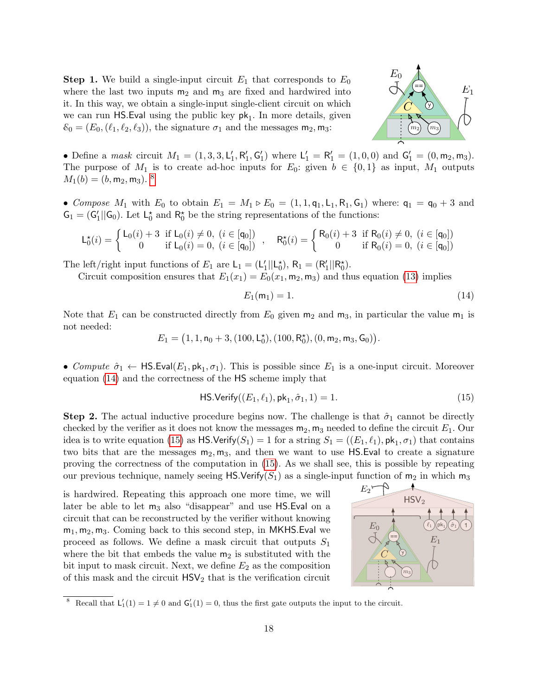**Step 1.** We build a single-input circuit  $E_1$  that corresponds to  $E_0$ where the last two inputs  $m_2$  and  $m_3$  are fixed and hardwired into it. In this way, we obtain a single-input single-client circuit on which we can run  $\textsf{HS}$ . Eval using the public key  $\textsf{pk}_1$ . In more details, given  $\mathcal{E}_0 = (E_0, (\ell_1, \ell_2, \ell_3))$ , the signature  $\sigma_1$  and the messages  $m_2, m_3$ :



• Define a *mask* circuit  $M_1 = (1, 3, 3, L'_1, R'_1, G'_1)$  where  $L'_1 = R'_1 = (1, 0, 0)$  and  $G'_1 = (0, m_2, m_3)$ . The purpose of  $M_1$  is to create ad-hoc inputs for  $E_0$ : given  $b \in \{0,1\}$  as input,  $M_1$  outputs  $M_1(b) = (b, m_2, m_3)^{8}$  $M_1(b) = (b, m_2, m_3)^{8}$  $M_1(b) = (b, m_2, m_3)^{8}$ 

• Compose  $M_1$  with  $E_0$  to obtain  $E_1 = M_1 \triangleright E_0 = (1, 1, q_1, L_1, R_1, G_1)$  where:  $q_1 = q_0 + 3$  and  $G_1 = (G'_1 || G_0)$ . Let  $L_0^*$  and  $R_0^*$  be the string representations of the functions:

$$
L_0^{\star}(i) = \begin{cases} L_0(i) + 3 & \text{if } L_0(i) \neq 0, \ (i \in [q_0]) \\ 0 & \text{if } L_0(i) = 0, \ (i \in [q_0]) \end{cases}, \quad R_0^{\star}(i) = \begin{cases} R_0(i) + 3 & \text{if } R_0(i) \neq 0, \ (i \in [q_0]) \\ 0 & \text{if } R_0(i) = 0, \ (i \in [q_0]) \end{cases}
$$

The left/right input functions of  $E_1$  are  $L_1 = (L'_1 || L_0^*), R_1 = (R'_1 || R_0^*).$ 

Circuit composition ensures that  $E_1(x_1) = E_0(x_1, m_2, m_3)$  and thus equation [\(13\)](#page-17-4) implies

<span id="page-18-1"></span>
$$
E_1(\mathsf{m}_1) = 1.\tag{14}
$$

Note that  $E_1$  can be constructed directly from  $E_0$  given  $m_2$  and  $m_3$ , in particular the value  $m_1$  is not needed:

 $E_1 = (1, 1, n_0 + 3, (100, L_0^*), (100, R_0^*), (0, m_2, m_3, G_0)).$ 

• Compute  $\hat{\sigma}_1 \leftarrow \textsf{HS.Eval}(E_1, \textsf{pk}_1, \sigma_1)$ . This is possible since  $E_1$  is a one-input circuit. Moreover equation [\(14\)](#page-18-1) and the correctness of the HS scheme imply that

<span id="page-18-2"></span>
$$
\mathsf{HS}.\mathsf{Verify}((E_1, \ell_1), \mathsf{pk}_1, \hat{\sigma}_1, 1) = 1. \tag{15}
$$

**Step 2.** The actual inductive procedure begins now. The challenge is that  $\hat{\sigma}_1$  cannot be directly checked by the verifier as it does not know the messages  $m_2$ ,  $m_3$  needed to define the circuit  $E_1$ . Our idea is to write equation [\(15\)](#page-18-2) as  $\mathsf{HS}.\mathsf{Verify}(S_1) = 1$  for a string  $S_1 = ((E_1, \ell_1), \mathsf{pk}_1, \sigma_1)$  that contains two bits that are the messages  $m_2, m_3$ , and then we want to use HS. Eval to create a signature proving the correctness of the computation in [\(15\)](#page-18-2). As we shall see, this is possible by repeating our previous technique, namely seeing HS.Verify( $S_1$ ) as a single-input function of  $m_2$  in which  $m_3$ 

is hardwired. Repeating this approach one more time, we will later be able to let  $m_3$  also "disappear" and use HS.Eval on a circuit that can be reconstructed by the verifier without knowing  $m_1, m_2, m_3$ . Coming back to this second step, in MKHS.Eval we proceed as follows. We define a mask circuit that outputs  $S_1$ where the bit that embeds the value  $m_2$  is substituted with the bit input to mask circuit. Next, we define  $E_2$  as the composition proceed as follows. We define a mask circuit that outputs  $S_1$ <br>where the bit that embeds the value  $m_2$  is substituted with the<br>bit input to mask circuit. Next, we define  $E_2$  as the composition<br>of this mask and the ci



<span id="page-18-0"></span><sup>&</sup>lt;sup>8</sup> Recall that  $L'_1(1) = 1 \neq 0$  and  $G'_1(1) = 0$ , thus the first gate outputs the input to the circuit.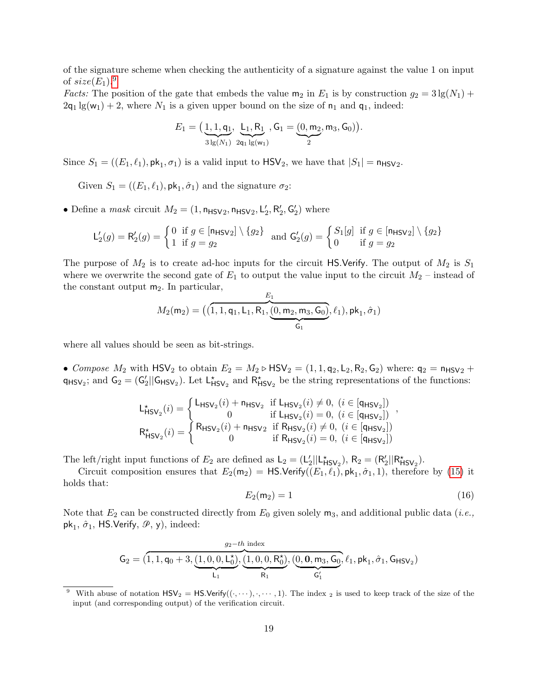of the signature scheme when checking the authenticity of a signature against the value 1 on input of  $size(E_1).<sup>9</sup>$  $size(E_1).<sup>9</sup>$  $size(E_1).<sup>9</sup>$ 

*Facts:* The position of the gate that embeds the value  $m_2$  in  $E_1$  is by construction  $g_2 = 3 \lg(N_1) +$  $2q_1 \lg(w_1) + 2$ , where  $N_1$  is a given upper bound on the size of  $n_1$  and  $q_1$ , indeed:

$$
E_1 = \left( \underbrace{1, 1, q_1}_{3 \lg(N_1)}, \underbrace{L_1, R_1}_{2q_1 \lg(w_1)}, G_1 = \underbrace{(0, m_2, m_3, G_0)}_{2} \right).
$$

Since  $S_1 = ((E_1, \ell_1), \mathsf{pk}_1, \sigma_1)$  is a valid input to  $\mathsf{HSV}_2$ , we have that  $|S_1| = \mathsf{n}_{\mathsf{HSV}_2}$ .

Given  $S_1 = ((E_1, \ell_1), \mathsf{pk}_1, \hat{\sigma}_1)$  and the signature  $\sigma_2$ :

• Define a mask circuit  $M_2 = (1, n_{\text{HSV2}}, n_{\text{HSV2}}, L'_2, R'_2, G'_2)$  where

$$
\mathsf{L}'_2(g) = \mathsf{R}'_2(g) = \begin{cases} 0 & \text{if } g \in [\mathsf{n}_{\mathsf{H}} s_{\mathsf{V}}_2] \setminus \{g_2\} \\ 1 & \text{if } g = g_2 \end{cases} \text{ and } \mathsf{G}'_2(g) = \begin{cases} S_1[g] & \text{if } g \in [\mathsf{n}_{\mathsf{H}} s_{\mathsf{V}}_2] \setminus \{g_2\} \\ 0 & \text{if } g = g_2 \end{cases}
$$

The purpose of  $M_2$  is to create ad-hoc inputs for the circuit HS.Verify. The output of  $M_2$  is  $S_1$ where we overwrite the second gate of  $E_1$  to output the value input to the circuit  $M_2$  – instead of the constant output  $m_2$ . In particular,  $\mathbf{E}$ 

$$
M_2(m_2) = ((1, 1, q_1, L_1, R_1, \underbrace{(0, m_2, m_3, G_0)}_{G_1}, \ell_1), \mathrm{pk}_1, \hat{\sigma}_1)
$$

where all values should be seen as bit-strings.

• Compose  $M_2$  with  $\text{HSV}_2$  to obtain  $E_2 = M_2 \triangleright \text{HSV}_2 = (1, 1, q_2, L_2, R_2, G_2)$  where:  $q_2 = n_{\text{HSV}_2} +$  $q_{\text{HSV}_2}$ ; and  $G_2 = (G_2'||G_{\text{HSV}_2})$ . Let  $L^*_{\text{HSV}_2}$  and  $R^*_{\text{HSV}_2}$  be the string representations of the functions:

$$
\mathsf{L}_{\mathsf{HSV}_2}^{\star}(i) = \begin{cases} \mathsf{L}_{\mathsf{HSV}_2}(i) + \mathsf{n}_{\mathsf{HSV}_2} & \text{if } \mathsf{L}_{\mathsf{HSV}_2}(i) \neq 0, \ (i \in [\mathsf{q}_{\mathsf{HSV}_2}]) \\ 0 & \text{if } \mathsf{L}_{\mathsf{HSV}_2}(i) = 0, \ (i \in [\mathsf{q}_{\mathsf{HSV}_2}]) \end{cases},
$$
\n
$$
\mathsf{R}_{\mathsf{HSV}_2}^{\star}(i) = \begin{cases} \mathsf{R}_{\mathsf{HSV}_2}(i) + \mathsf{n}_{\mathsf{HSV}_2} & \text{if } \mathsf{R}_{\mathsf{HSV}_2}(i) \neq 0, \ (i \in [\mathsf{q}_{\mathsf{HSV}_2}]) \\ 0 & \text{if } \mathsf{R}_{\mathsf{HSV}_2}(i) = 0, \ (i \in [\mathsf{q}_{\mathsf{HSV}_2}]) \end{cases}
$$

The left/right input functions of  $E_2$  are defined as  $L_2 = (L'_2||L^*_{HSV_2}), R_2 = (R'_2||R^*_{HSV_2}).$ 

Circuit composition ensures that  $E_2(m_2) = \textsf{HS}$ . Verify $((E_1, \ell_1), \textsf{pk}_1, \hat{\sigma}_1, 1)$ , therefore by [\(15\)](#page-18-2) it holds that:

<span id="page-19-1"></span>
$$
E_2(\mathsf{m}_2) = 1\tag{16}
$$

Note that  $E_2$  can be constructed directly from  $E_0$  given solely  $m_3$ , and additional public data (*i.e.*,  $pk<sub>1</sub>$ ,  $\hat{\sigma}_1$ , HS.Verify,  $\mathcal{P}$ , y), indeed:

$$
\text{G}_2=(\overbrace{1,1,q_0+3,\underbrace{(1,0,0,L_0^{\star})}_{L_1},\underbrace{(1,0,0,R_0^{\star})}_{R_1},\underbrace{(0,\textbf{0},m_3,\textbf{G}_0,} \ell_1,\textbf{pk}_1,\hat{\sigma}_1,\textbf{G}_{\text{HSV}_2})}_{\text{G}_1^{\prime}}
$$

<span id="page-19-0"></span>With abuse of notation  $\text{HSV}_2 = \text{HS}.\text{Verify}((\cdot, \dots), \cdot, \dots, 1).$  The index <sub>2</sub> is used to keep track of the size of the input (and corresponding output) of the verification circuit.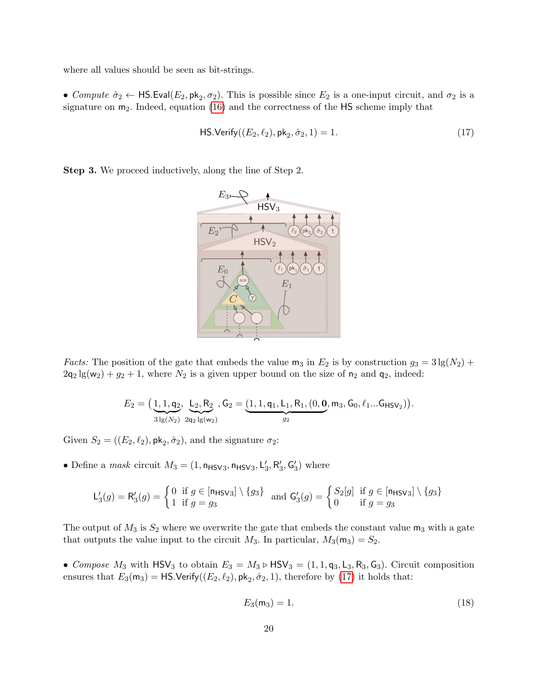where all values should be seen as bit-strings.

• Compute  $\hat{\sigma}_2 \leftarrow \textsf{HS}.\textsf{Eval}(E_2, \textsf{pk}_2, \sigma_2)$ . This is possible since  $E_2$  is a one-input circuit, and  $\sigma_2$  is a signature on  $m_2$ . Indeed, equation [\(16\)](#page-19-1) and the correctness of the  $HS$  scheme imply that

<span id="page-20-0"></span>
$$
\mathsf{HS}.\mathsf{Verify}((E_2, \ell_2), \mathsf{pk}_2, \hat{\sigma}_2, 1) = 1. \tag{17}
$$

Step 3. We proceed inductively, along the line of Step 2.



*Facts:* The position of the gate that embeds the value  $m_3$  in  $E_2$  is by construction  $g_3 = 3 \lg(N_2) +$  $2q_2 \lg(w_2) + g_2 + 1$ , where  $N_2$  is a given upper bound on the size of  $n_2$  and  $q_2$ , indeed:

$$
E_2 = \left( \underbrace{1, 1, q_2}_{3 \lg(N_2)}, \underbrace{L_2, R_2}_{2q_2 \lg(w_2)}, G_2 = \underbrace{(1, 1, q_1, L_1, R_1, (0, \mathbf{0}, \mathbf{m}_3, G_0, \ell_1 ... G_{\text{HSV}_2}) \right).
$$

Given  $S_2 = ((E_2, \ell_2), \mathsf{pk}_2, \hat{\sigma}_2)$ , and the signature  $\sigma_2$ :

• Define a mask circuit  $M_3 = (1, n_{HSV3}, n_{HSV3}, L'_3, R'_3, G'_3)$  where

$$
\mathsf{L}'_3(g) = \mathsf{R}'_3(g) = \begin{cases} 0 & \text{if } g \in [\mathsf{n}_{\mathsf{HSV3}}] \setminus \{g_3\} \\ 1 & \text{if } g = g_3 \end{cases} \quad \text{and } \mathsf{G}'_3(g) = \begin{cases} S_2[g] & \text{if } g \in [\mathsf{n}_{\mathsf{HSV3}}] \setminus \{g_3\} \\ 0 & \text{if } g = g_3 \end{cases}
$$

The output of  $M_3$  is  $S_2$  where we overwrite the gate that embeds the constant value  $m_3$  with a gate that outputs the value input to the circuit  $M_3$ . In particular,  $M_3(\mathsf{m}_3) = S_2$ .

• Compose  $M_3$  with  $\text{HSV}_3$  to obtain  $E_3 = M_3 \triangleright \text{HSV}_3 = (1, 1, q_3, L_3, R_3, G_3)$ . Circuit composition ensures that  $E_3(m_3) = \textsf{HS}.\textsf{Verify}((E_2, \ell_2), \textsf{pk}_2, \hat{\sigma}_2, 1),$  therefore by [\(17\)](#page-20-0) it holds that:

<span id="page-20-1"></span>
$$
E_3(m_3) = 1.
$$
 (18)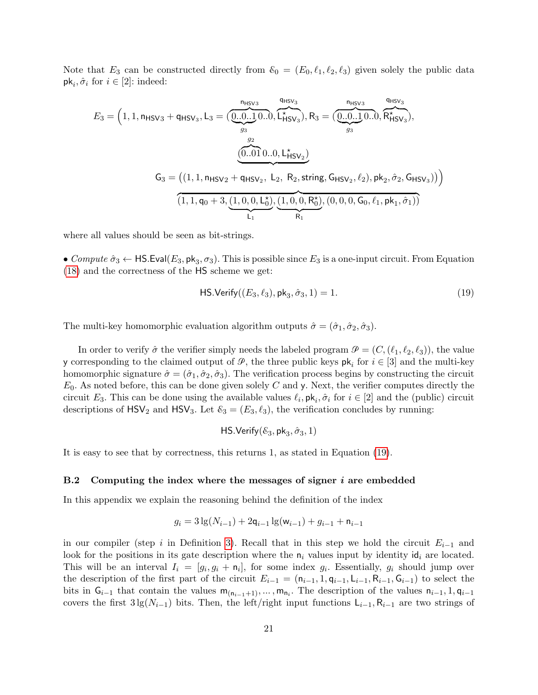Note that  $E_3$  can be constructed directly from  $\mathcal{E}_0 = (E_0, \ell_1, \ell_2, \ell_3)$  given solely the public data  $\mathsf{pk}_i, \hat{\sigma}_i \text{ for } i \in [2] \text{: indeed:}$ 

<span id="page-21-1"></span>
$$
E_3 = \left(1, 1, n_{\text{HSV3}} + q_{\text{HSV}_3}, L_3 = (\underbrace{\underbrace{0...1}_{g_3} 0... \underbrace{0...}_{g_3}), R_3 = (\underbrace{\underbrace{0...0...1}_{g_3} 0... \underbrace{0...}_{g_3}), R_3 = (\underbrace{\underbrace{0...0...1}_{g_3} 0... \underbrace{0...}_{g_3}), R_3 = (\underbrace{\underbrace{0...0...1}_{g_3} 0... \underbrace{0...}_{g_3}), R_3 = (\underbrace{\underbrace{0...0...1}_{g_3} 0... \underbrace{0...}_{g_3}), R_3 = (\underbrace{\underbrace{0...0...1}_{g_3} 0... \underbrace{0...}_{g_3}), R_3 = (\underbrace{\underbrace{0...0...1}_{g_3} 0... \underbrace{0...}_{g_3}), R_3 = (\underbrace{\underbrace{0...0...1}_{g_3} 0... \underbrace{0...}_{g_3}), R_3 = (\underbrace{\underbrace{0...0...1}_{g_3} 0... \underbrace{0...}_{g_3}), R_3 = (\underbrace{\underbrace{0...0...1}_{g_3} 0... \underbrace{0...}_{g_3}), R_3 = (\underbrace{\underbrace{0...0...1}_{g_3} 0... \underbrace{0...}_{g_3}), R_3 = (\underbrace{\underbrace{0...0...1}_{g_3} 0... \underbrace{0...}_{g_3}), R_3 = (\underbrace{\underbrace{0...0...1}_{g_3} 0... \underbrace{0...}_{g_3}), R_3 = (\underbrace{\underbrace{0...0...1}_{g_3} 0... \underbrace{0...}_{g_3}), R_3 = (\underbrace{\underbrace{0...0...0}_{g_3} 0... \underbrace{0...}_{g_3}), R_3 = (\underbrace{\underbrace{0...0...0}_{g_3} 0... \underbrace{0...}_{g_3}), R_3 = (\underbrace{\underbrace{0...0...0}_{g_3} 0... \underbrace{0...}_{g_3}), R_3 = (\underbrace{\underbrace{0...0...0}_{g_3} 0... \underbrace{0...}_{g_3}), R_3 = (\underbrace{\underbrace{0...0...0}_{g_3} 0... \underbrace{0...}_{g_3}), R_3 = (\underbrace{\underbrace{0...0...0}_{g_3} 0... \underbrace{0...}_{g_3}), R_3 = (\underbrace{\underbrace{0...0...0}_{g_3} 0... \underbrace{0
$$

where all values should be seen as bit-strings.

• Compute  $\hat{\sigma}_3 \leftarrow \textsf{HS}.\textsf{Eval}(E_3, \textsf{pk}_3, \sigma_3)$ . This is possible since  $E_3$  is a one-input circuit. From Equation [\(18\)](#page-20-1) and the correctness of the HS scheme we get:

$$
\mathsf{HS}.\mathsf{Verify}((E_3, \ell_3), \mathsf{pk}_3, \hat{\sigma}_3, 1) = 1. \tag{19}
$$

The multi-key homomorphic evaluation algorithm outputs  $\hat{\sigma} = (\hat{\sigma}_1, \hat{\sigma}_2, \hat{\sigma}_3)$ .

In order to verify  $\hat{\sigma}$  the verifier simply needs the labeled program  $\mathcal{P} = (C,(\ell_1, \ell_2, \ell_3))$ , the value y corresponding to the claimed output of  $\mathcal{P}$ , the three public keys  $\mathsf{pk}_i$  for  $i \in [3]$  and the multi-key homomorphic signature  $\hat{\sigma} = (\hat{\sigma}_1, \hat{\sigma}_2, \hat{\sigma}_3)$ . The verification process begins by constructing the circuit  $E_0$ . As noted before, this can be done given solely C and y. Next, the verifier computes directly the circuit  $E_3$ . This can be done using the available values  $\ell_i$ ,  $\mathsf{pk}_i$ ,  $\hat{\sigma}_i$  for  $i \in [2]$  and the (public) circuit descriptions of  $\text{HSV}_2$  and  $\text{HSV}_3$ . Let  $\mathcal{E}_3 = (E_3, \ell_3)$ , the verification concludes by running:

$$
\mathsf{HS}.\mathsf{Verify}(\mathcal{E}_3,\mathsf{pk}_3,\hat{\sigma}_3,1)
$$

It is easy to see that by correctness, this returns 1, as stated in Equation [\(19\)](#page-21-1).

#### <span id="page-21-0"></span> $B.2$  Computing the index where the messages of signer i are embedded

In this appendix we explain the reasoning behind the definition of the index

$$
g_i = 3\lg(N_{i-1}) + 2q_{i-1}\lg(\mathsf{w}_{i-1}) + g_{i-1} + \mathsf{n}_{i-1}
$$

in our compiler (step i in Definition [3\)](#page-9-2). Recall that in this step we hold the circuit  $E_{i-1}$  and look for the positions in its gate description where the  $n_i$  values input by identity id<sub>i</sub> are located. This will be an interval  $I_i = [g_i, g_i + n_i]$ , for some index  $g_i$ . Essentially,  $g_i$  should jump over the description of the first part of the circuit  $E_{i-1} = (n_{i-1}, 1, q_{i-1}, L_{i-1}, R_{i-1}, G_{i-1})$  to select the bits in  $G_{i-1}$  that contain the values  $m_{(n_{i-1}+1)},...,m_{n_i}$ . The description of the values  $n_{i-1}, 1, q_{i-1}$ covers the first  $3\lg(N_{i-1})$  bits. Then, the left/right input functions  $\mathsf{L}_{i-1}, \mathsf{R}_{i-1}$  are two strings of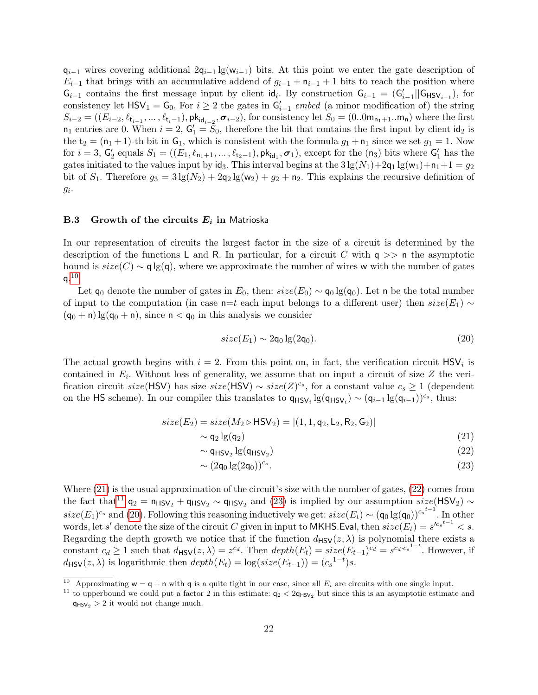$q_{i-1}$  wires covering additional  $2q_{i-1}$  lg(w<sub>i−1</sub>) bits. At this point we enter the gate description of  $E_{i-1}$  that brings with an accumulative addend of  $g_{i-1} + n_{i-1} + 1$  bits to reach the position where  $G_{i-1}$  contains the first message input by client  $\mathsf{id}_{i}$ . By construction  $G_{i-1} = (G'_{i-1}||G_{\mathsf{HSV}_{i-1}})$ , for consistency let  $\text{HSV}_1 = \text{G}_0$ . For  $i \geq 2$  the gates in  $\text{G}'_{i-1}$  embed (a minor modification of) the string  $S_{i-2} = ((E_{i-2}, \ell_{t_{i-1}}, \ldots, \ell_{t_i-1}), \mathsf{pk}_{\mathsf{id}_{i-2}}, \sigma_{i-2}),$  for consistency let  $S_0 = (0..0\mathsf{m}_{\mathsf{n}_1+1}..\mathsf{m}_{\mathsf{n}})$  where the first  $n_1$  entries are 0. When  $i = 2$ ,  $G'_1 = \overline{S}_0$ , therefore the bit that contains the first input by client  $\mathsf{id}_2$  is the  $t_2 = (n_1 + 1)$ -th bit in  $G_1$ , which is consistent with the formula  $g_1 + n_1$  since we set  $g_1 = 1$ . Now for  $i = 3$ ,  $G'_2$  equals  $S_1 = ((E_1, \ell_{n_1+1}, \ldots, \ell_{t_2-1}), \mathsf{pk}_{\mathsf{id}_1}, \sigma_1)$ , except for the  $(\mathsf{n}_3)$  bits where  $G'_1$  has the gates initiated to the values input by  $\mathsf{id}_3$ . This interval begins at the  $3\lg(N_1)+2\mathsf{q}_1\lg(\mathsf{w}_1)+\mathsf{n}_1+1=g_2$ bit of  $S_1$ . Therefore  $g_3 = 3 \lg(N_2) + 2q_2 \lg(w_2) + q_2 + n_2$ . This explains the recursive definition of  $g_i$ .

## <span id="page-22-0"></span>**B.3** Growth of the circuits  $E_i$  in Matrioska

In our representation of circuits the largest factor in the size of a circuit is determined by the description of the functions L and R. In particular, for a circuit C with  $q \gg n$  the asymptotic bound is  $size(C) \sim q \lg(q)$ , where we approximate the number of wires w with the number of gates  $\mathsf{q}.^{10}$  $\mathsf{q}.^{10}$  $\mathsf{q}.^{10}$ 

Let  $\mathsf{q}_0$  denote the number of gates in  $E_0$ , then:  $size(E_0) \sim \mathsf{q}_0 \lg(\mathsf{q}_0)$ . Let n be the total number of input to the computation (in case n=t each input belongs to a different user) then  $size(E_1) \sim$  $(q_0 + n)$  lg $(q_0 + n)$ , since  $n < q_0$  in this analysis we consider

<span id="page-22-4"></span>
$$
size(E_1) \sim 2\mathsf{q}_0 \lg(2\mathsf{q}_0). \tag{20}
$$

The actual growth begins with  $i = 2$ . From this point on, in fact, the verification circuit  $\text{HSV}_i$  is contained in  $E_i$ . Without loss of generality, we assume that on input a circuit of size Z the verification circuit  $size(\text{HSV})$  has size  $size(\text{HSV}) \sim size(Z)^{c_s}$ , for a constant value  $c_s \geq 1$  (dependent on the HS scheme). In our compiler this translates to  $q_{\text{HSV}_i} \lg(q_{\text{HSV}_i}) \sim (q_{i-1} \lg(q_{i-1}))^{c_s}$ , thus:

<span id="page-22-2"></span>
$$
size(E_2) = size(M_2 \triangleright \text{HSV}_2) = |(1, 1, \text{q}_2, \text{L}_2, \text{R}_2, \text{G}_2)|
$$
  
~ q<sub>2</sub> lg(q<sub>2</sub>) (21)

$$
\sim \mathsf{q}_{\mathsf{HSV}_2} \lg(\mathsf{q}_{\mathsf{HSV}_2}) \tag{22}
$$

$$
\sim (2\mathsf{q}_0 \lg(2\mathsf{q}_0))^{\mathsf{c}_s}.\tag{23}
$$

Where [\(21\)](#page-22-2) is the usual approximation of the circuit's size with the number of gates, [\(22\)](#page-22-2) comes from the fact that<sup>[11](#page-22-3)</sup>  $q_2 = n_{HSV_2} + q_{HSV_2} \sim q_{HSV_2}$  and [\(23\)](#page-22-2) is implied by our assumption  $size(HSV_2) \sim$  $size(E_1)^{c_s}$  and [\(20\)](#page-22-4). Following this reasoning inductively we get:  $size(E_t) \sim (q_0 \lg(q_0))^{c_s t-1}$ . In other words, let s' denote the size of the circuit C given in input to MKHS. Eval, then  $size(E_t) = s'^{c_s t-1} < s$ . Regarding the depth growth we notice that if the function  $d_{\text{HSV}}(z, \lambda)$  is polynomial there exists a constant  $c_d \geq 1$  such that  $d_{\text{HSV}}(z, \lambda) = z^{c_d}$ . Then  $depth(E_t) = size(E_{t-1})^{c_d} = s^{c_d \cdot c_s^{1-t}}$ . However, if  $d_{\text{HSV}}(z, \lambda)$  is logarithmic then  $depth(E_t) = log(size(E_{t-1})) = (c_s^{1-t})s$ .

<span id="page-22-1"></span><sup>&</sup>lt;sup>10</sup> Approximating  $w = q + n$  with q is a quite tight in our case, since all  $E_i$  are circuits with one single input.

<span id="page-22-3"></span><sup>&</sup>lt;sup>11</sup> to upperbound we could put a factor 2 in this estimate:  $q_2 < 2q_{\text{HSV}_2}$  but since this is an asymptotic estimate and  $q_{\text{HSV}_2}$  > 2 it would not change much.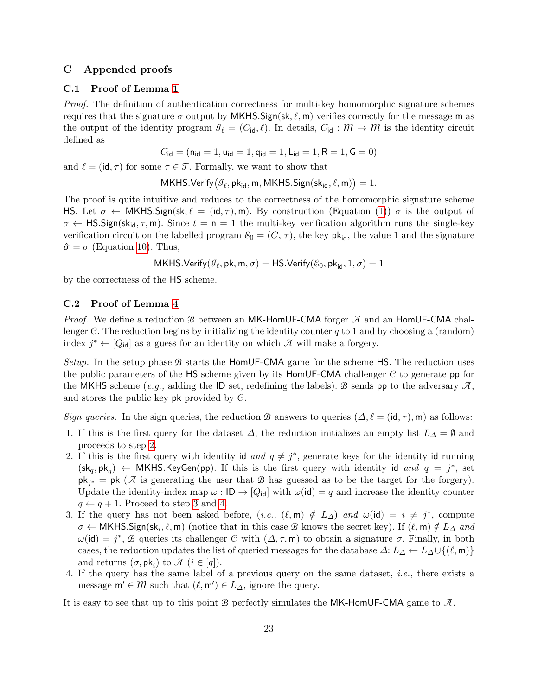# <span id="page-23-1"></span>C Appended proofs

## <span id="page-23-0"></span>C.1 Proof of Lemma [1](#page-12-1)

Proof. The definition of authentication correctness for multi-key homomorphic signature schemes requires that the signature  $\sigma$  output by MKHS.Sign(sk,  $\ell$ , m) verifies correctly for the message m as the output of the identity program  $\mathcal{I}_\ell = (C_{\mathsf{id}}, \ell)$ . In details,  $C_{\mathsf{id}} : \mathcal{M} \to \mathcal{M}$  is the identity circuit defined as

$$
C_{\mathsf{id}} = (\mathsf{n}_{\mathsf{id}} = 1, \mathsf{u}_{\mathsf{id}} = 1, \mathsf{q}_{\mathsf{id}} = 1, \mathsf{L}_{\mathsf{id}} = 1, \mathsf{R} = 1, \mathsf{G} = 0)
$$

and  $\ell = (\mathsf{id}, \tau)$  for some  $\tau \in \mathcal{T}$ . Formally, we want to show that

MKHS.  
Verify 
$$
(\mathcal{G}_{\ell}, \mathsf{pk}_{\mathsf{id}}, \mathsf{m}, \mathsf{MKHS}.\mathsf{Sign}(\mathsf{sk}_{\mathsf{id}}, \ell, \mathsf{m})) = 1.
$$

The proof is quite intuitive and reduces to the correctness of the homomorphic signature scheme HS. Let  $\sigma \leftarrow \text{MKHS}.\text{Sign}(\text{sk}, \ell = (\text{id}, \tau), \text{m})$ . By construction (Equation [\(1\)](#page-9-4))  $\sigma$  is the output of  $\sigma \leftarrow \text{HS}.Sign(\text{sk}_{\text{id}}, \tau, \text{m})$ . Since  $t = \text{n} = 1$  the multi-key verification algorithm runs the single-key verification circuit on the labelled program  $\mathcal{E}_0 = (C, \tau)$ , the key  $\mathsf{pk}_{\mathsf{id}}$ , the value 1 and the signature  $\hat{\sigma} = \sigma$  (Equation [10\)](#page-11-3). Thus,

MKHS. Verify
$$
(g_\ell, \mathrm{pk}, \mathrm{m}, \sigma)
$$
 = HS. Verify $(\mathcal{E}_0, \mathrm{pk}_{\mathrm{id}}, 1, \sigma)$  = 1

by the correctness of the HS scheme.

# C.2 Proof of Lemma [4](#page-14-0)

*Proof.* We define a reduction B between an MK-HomUF-CMA forger  $\mathcal{A}$  and an HomUF-CMA challenger C. The reduction begins by initializing the identity counter q to 1 and by choosing a (random) index  $j^* \leftarrow [Q_{\text{id}}]$  as a guess for an identity on which  $\mathcal{A}$  will make a forgery.

Setup. In the setup phase  $B$  starts the HomUF-CMA game for the scheme HS. The reduction uses the public parameters of the HS scheme given by its  $HomUF-CMA$  challenger C to generate pp for the MKHS scheme (e.g., adding the ID set, redefining the labels). B sends pp to the adversary  $\mathcal{A}$ . and stores the public key pk provided by C.

Sign queries. In the sign queries, the reduction B answers to queries  $(\Delta, \ell = (id, \tau), m)$  as follows:

- 1. If this is the first query for the dataset  $\Delta$ , the reduction initializes an empty list  $L_{\Delta} = \emptyset$  and proceeds to step [2.](#page-23-2)
- <span id="page-23-2"></span>2. If this is the first query with identity id and  $q \neq j^*$ , generate keys for the identity id running  $(\mathsf{sk}_q, \mathsf{pk}_q) \leftarrow \mathsf{MKHS}.\mathsf{KeyGen}(\mathsf{pp}).$  If this is the first query with identity id and  $q = j^*$ , set  $\mathsf{pk}_{j^*} = \mathsf{pk}$  ( $\mathcal A$  is generating the user that  $\mathcal B$  has guessed as to be the target for the forgery). Update the identity-index map  $\omega : \mathsf{ID} \to [Q_{\mathsf{id}}]$  with  $\omega(\mathsf{id}) = q$  and increase the identity counter  $q \leftarrow q + 1$ . Proceed to step [3](#page-23-3) and [4.](#page-23-4)
- <span id="page-23-3"></span>3. If the query has not been asked before,  $(i.e., (\ell,m) \notin L_{\Delta})$  and  $\omega(id) = i \neq j^*$ , compute  $\sigma \leftarrow \mathsf{MKHS}.\mathsf{Sign}(\mathsf{sk}_i, \ell, \mathsf{m})$  (notice that in this case  $\mathcal B$  knows the secret key). If  $(\ell, \mathsf{m}) \notin L_\Delta$  and  $\omega(\text{id}) = j^*, \mathcal{B}$  queries its challenger C with  $(\Delta, \tau, \text{m})$  to obtain a signature  $\sigma$ . Finally, in both cases, the reduction updates the list of queried messages for the database  $\Delta: L_{\Delta} \leftarrow L_{\Delta} \cup \{(\ell, m)\}\$ and returns  $(\sigma, \mathsf{pk}_i)$  to  $\mathcal{A}$   $(i \in [q])$ .
- <span id="page-23-4"></span>4. If the query has the same label of a previous query on the same dataset, i.e., there exists a message  $\mathsf{m}' \in \mathcal{M}$  such that  $(\ell, \mathsf{m}') \in L_{\Delta}$ , ignore the query.

It is easy to see that up to this point  $\mathcal B$  perfectly simulates the MK-HomUF-CMA game to  $\mathcal A$ .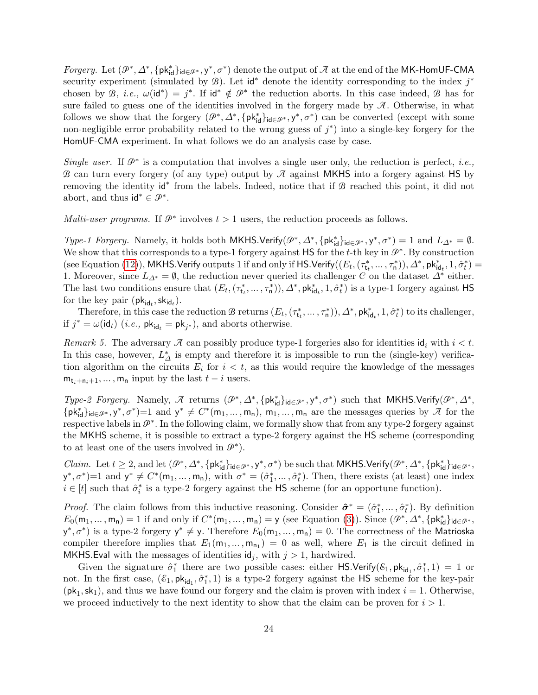Forgery. Let  $(\mathcal{P}^*,\Delta^*,\{\mathsf{pk}^*_{\mathsf{id}}\}_{\mathsf{id}\in\mathcal{P}^*},\mathsf{y}^*,\sigma^*)$  denote the output of  $\mathcal A$  at the end of the MK-HomUF-CMA security experiment (simulated by  $\mathcal{B}$ ). Let id<sup>\*</sup> denote the identity corresponding to the index  $j^*$ chosen by B, *i.e.*,  $\omega(\mathsf{id}^*) = j^*$ . If  $\mathsf{id}^* \notin \mathcal{P}^*$  the reduction aborts. In this case indeed, B has for sure failed to guess one of the identities involved in the forgery made by  $\mathcal{A}$ . Otherwise, in what follows we show that the forgery  $(\mathcal{P}^*, \Delta^*, \{\mathsf{pk}^*_{\mathsf{id}}\}_{\mathsf{id}\in\mathcal{P}^*}, \mathsf{y}^*, \sigma^*)$  can be converted (except with some non-negligible error probability related to the wrong guess of  $j^*$ ) into a single-key forgery for the HomUF-CMA experiment. In what follows we do an analysis case by case.

Single user. If  $\mathcal{P}^*$  is a computation that involves a single user only, the reduction is perfect, *i.e.*, B can turn every forgery (of any type) output by  $\mathcal A$  against MKHS into a forgery against HS by removing the identity id<sup>\*</sup> from the labels. Indeed, notice that if **B** reached this point, it did not abort, and thus  $\mathsf{id}^* \in \mathcal{P}^*$ .

Multi-user programs. If  $\mathcal{P}^*$  involves  $t > 1$  users, the reduction proceeds as follows.

Type-1 Forgery. Namely, it holds both MKHS.Verify( $\mathcal{P}^*, \Delta^*, \{\mathsf{pk}^*_{\mathsf{id}}\}_{\mathsf{id}\in\mathcal{P}^*}, \mathsf{y}^*, \sigma^*) = 1$  and  $L_{\Delta^*} = \emptyset$ . We show that this corresponds to a type-1 forgery against  $\mathsf{HS}$  for the t-th key in  $\mathcal{P}^*$ . By construction (see Equation [\(12\)](#page-12-2)), MKHS.Verify outputs 1 if and only if HS.Verify $((E_t, (\tau^*_{\mathsf{t}_t}, \ldots, \tau^*_{\mathsf{n}})), \Delta^*, \mathsf{pk}^*_{\mathsf{id}_t}, 1, \hat{\sigma}^*_t)$ 1. Moreover, since  $L_{\Delta^*} = \emptyset$ , the reduction never queried its challenger C on the dataset  $\Delta^*$  either. The last two conditions ensure that  $(E_t, (\tau_{t_t}^*, \ldots, \tau_n^*)), \Delta^*, \mathsf{pk}_{\mathsf{id}_t}^*, 1, \hat{\sigma}_t^*$  is a type-1 forgery against HS for the key pair  $(\mathsf{pk}_{\mathsf{id}_t}, \mathsf{sk}_{\mathsf{id}_t}).$ 

Therefore, in this case the reduction  $B$  returns  $(E_t, (\tau_{t}^*, \ldots, \tau_n^*))$ ,  $\Delta^*$ ,  $\mathsf{pk}^*_{\mathsf{id}_t}$ ,  $1, \hat{\sigma}_t^*$  to its challenger, if  $j^* = \omega(\text{id}_t)$  (*i.e.*,  $\mathsf{pk}_{\text{id}_t} = \mathsf{pk}_{j^*}$ ), and aborts otherwise.

Remark 5. The adversary  $\mathcal A$  can possibly produce type-1 forgeries also for identities  $\mathsf{id}_i$  with  $i < t$ . In this case, however,  $L^*_{\Delta}$  is empty and therefore it is impossible to run the (single-key) verification algorithm on the circuits  $E_i$  for  $i < t$ , as this would require the knowledge of the messages  $m_{t_i+n_i+1}, \ldots, m_n$  input by the last  $t-i$  users.

Type-2 Forgery. Namely,  $\mathcal A$  returns  $(\mathcal P^*, \Delta^*, \{\mathsf{pk}^*_{\mathsf{id}}\}_{\mathsf{id}\in \mathcal P^*}, \mathsf{y}^*, \sigma^*)$  such that MKHS.Verify $(\mathcal P^*, \Delta^*,$  $\{pk_{id}^*\}_{id \in \mathcal{P}^*}, y^*, \sigma^*$  = 1 and  $y^* \neq C^*(m_1, ..., m_n)$ ,  $m_1, ..., m_n$  are the messages queries by  $\mathcal{A}$  for the respective labels in  $\mathcal{P}^*$ . In the following claim, we formally show that from any type-2 forgery against the MKHS scheme, it is possible to extract a type-2 forgery against the HS scheme (corresponding to at least one of the users involved in  $\mathcal{P}^*$ ).

 $Claim. Let  $t \geq 2$ , and let  $(\mathcal{P}^*, \Delta^*, \{\mathsf{pk}^*_{\mathsf{id}}\}_{\mathsf{id} \in \mathcal{P}^*}, y^*, \sigma^*)$  be such that MKHS. Verify $(\mathcal{P}^*, \Delta^*, \{\mathsf{pk}^*_{\mathsf{id}}\}_{\mathsf{id} \in \mathcal{P}^*},$$  $(y^*, \sigma^*)=1$  and  $y^* \neq C^*(m_1, \ldots, m_n)$ , with  $\sigma^* = (\hat{\sigma}_1^*, \ldots, \hat{\sigma}_t^*)$ . Then, there exists (at least) one index  $i \in [t]$  such that  $\hat{\sigma}_i^*$  is a type-2 forgery against the HS scheme (for an opportune function).

*Proof.* The claim follows from this inductive reasoning. Consider  $\hat{\sigma}^* = (\hat{\sigma}_1^*, \dots, \hat{\sigma}_t^*)$ . By definition  $E_0(\mathsf{m}_1,\ldots,\mathsf{m}_\mathsf{n})=1$  if and only if  $C^*(\mathsf{m}_1,\ldots,\mathsf{m}_\mathsf{n})=\mathsf{y}$  (see Equation [\(3\)](#page-10-5)). Since  $(\mathcal{P}^*,\Delta^*,\{\mathsf{pk}^*_{\mathsf{id}}\}_{\mathsf{id}\in\mathcal{P}^*},$  $(y^*, \sigma^*)$  is a type-2 forgery  $y^* \neq y$ . Therefore  $E_0(m_1, \dots, m_n) = 0$ . The correctness of the Matrioska compiler therefore implies that  $E_1(m_1,...,m_{n_1}) = 0$  as well, where  $E_1$  is the circuit defined in MKHS. Eval with the messages of identities  $\mathsf{id}_i$ , with  $j > 1$ , hardwired.

Given the signature  $\hat{\sigma}_1^*$  there are two possible cases: either HS.Verify( $\mathcal{E}_1$ ,  $\mathsf{pk}_{\mathsf{id}_1}$ ,  $\hat{\sigma}_1^*, 1$ ) = 1 or not. In the first case,  $(\mathcal{E}_1, \mathsf{pk}_{\mathsf{id}_1}, \hat{\sigma}_1^*, 1)$  is a type-2 forgery against the HS scheme for the key-pair  $(\mathsf{pk}_1, \mathsf{sk}_1)$ , and thus we have found our forgery and the claim is proven with index  $i = 1$ . Otherwise, we proceed inductively to the next identity to show that the claim can be proven for  $i > 1$ .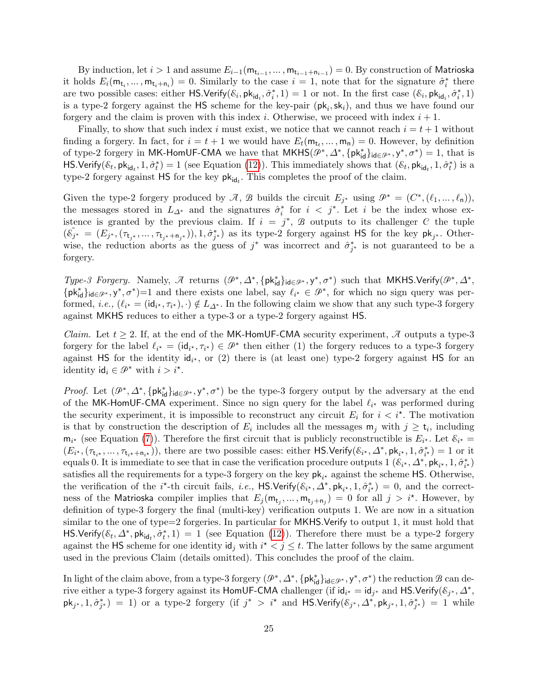By induction, let  $i > 1$  and assume  $E_{i-1}(\mathsf{m}_{\mathsf{t}_{i-1}}, \dots, \mathsf{m}_{\mathsf{t}_{i-1}+\mathsf{n}_{i-1}}) = 0.$  By construction of Matrioska it holds  $E_i(\mathbf{m}_{t_i},\ldots,\mathbf{m}_{t_i+n_i})=0$ . Similarly to the case  $i=1$ , note that for the signature  $\hat{\sigma}_i^*$  there are two possible cases: either  $\textsf{HS}.\textsf{Verify}(\mathcal{E}_i,\textsf{pk}_{\textsf{id}_i},\hat{\sigma}_i^*,1) = 1$  or not. In the first case  $(\mathcal{E}_i,\textsf{pk}_{\textsf{id}_i},\hat{\sigma}_i^*,1)$ is a type-2 forgery against the  $HS$  scheme for the key-pair  $(\mathsf{pk}_i, \mathsf{sk}_i)$ , and thus we have found our forgery and the claim is proven with this index i. Otherwise, we proceed with index  $i + 1$ .

Finally, to show that such index i must exist, we notice that we cannot reach  $i = t + 1$  without finding a forgery. In fact, for  $i = t + 1$  we would have  $E_t(\mathsf{m}_{t_t}, \dots, \mathsf{m}_{\mathsf{n}}) = 0$ . However, by definition of type-2 forgery in MK-HomUF-CMA we have that  $MKHS(\mathcal{P}^*, \Delta^*, \{pk_{id}^*\}_{id \in \mathcal{P}^*}, y^*, \sigma^*) = 1$ , that is HS.Verify( $\mathcal{E}_t$ , pk<sub>id<sub>t</sub></sub>, 1,  $\hat{\sigma}_t^*$ ) = 1 (see Equation [\(12\)](#page-12-2)). This immediately shows that  $(\mathcal{E}_t, \mathsf{pk}_{\mathsf{id}_t}, 1, \hat{\sigma}_t^*)$  is a type-2 forgery against  $\textsf{HS}$  for the key  $\mathsf{pk}_{\mathsf{id}_t}$ . This completes the proof of the claim.

Given the type-2 forgery produced by  $\mathcal{A}, \mathcal{B}$  builds the circuit  $E_{j^*}$  using  $\mathcal{P}^* = (C^*, (\ell_1, ..., \ell_n)),$ the messages stored in  $L_{\Delta^*}$  and the signatures  $\hat{\sigma}_i^*$  for  $i < j^*$ . Let i be the index whose existence is granted by the previous claim. If  $i = j^*$ ,  $\mathcal{B}$  outputs to its challenger C the tuple  $(\tilde{\mathcal{E}_{j^*}} = (E_{j^*}, (\tau_{t_{j^*}}, \ldots, \tau_{t_{j^*}+n_{j^*}})), 1, \hat{\sigma}_{j^*}^*)$  as its type-2 forgery against HS for the key  $\mathsf{pk}_{j^*}$ . Otherwise, the reduction aborts as the guess of  $j^*$  was incorrect and  $\hat{\sigma}_{j^*}^*$  is not guaranteed to be a forgery.

Type-3 Forgery. Namely,  $\mathcal A$  returns  $(\mathcal P^*, \Delta^*, \{\mathsf{pk}^*_{\mathsf{id}}\}_{\mathsf{id}\in \mathcal P^*}, \mathsf{y}^*, \sigma^*)$  such that MKHS.Verify $(\mathcal P^*, \Delta^*,$  $\{pk_{id}^*\}_{id \in \mathcal{P}^*}, y^*, \sigma^*\}=1$  and there exists one label, say  $\ell_{i^*} \in \mathcal{P}^*$ , for which no sign query was performed, *i.e.*,  $(\ell_{i^*} = (\mathsf{id}_{i^*}, \tau_{i^*}), \cdot) \notin L_{\Delta^*}$ . In the following claim we show that any such type-3 forgery against MKHS reduces to either a type-3 or a type-2 forgery against HS.

*Claim.* Let  $t \geq 2$ . If, at the end of the MK-HomUF-CMA security experiment,  $\mathcal{A}$  outputs a type-3 forgery for the label  $\ell_{i^*} = (\mathrm{id}_{i^*}, \tau_{i^*}) \in \mathcal{P}^*$  then either (1) the forgery reduces to a type-3 forgery against HS for the identity  $\mathsf{id}_{i^*}$ , or (2) there is (at least one) type-2 forgery against HS for an identity  $\mathsf{id}_i \in \mathcal{P}^*$  with  $i > i^*$ .

*Proof.* Let  $(\mathcal{P}^*, \Delta^*, \{\mathsf{pk}_{\mathsf{id}}^*\}_{\mathsf{id} \in \mathcal{P}^*, \mathsf{y}^*, \sigma^*)}$  be the type-3 forgery output by the adversary at the end of the MK-HomUF-CMA experiment. Since no sign query for the label  $\ell_{i^*}$  was performed during the security experiment, it is impossible to reconstruct any circuit  $E_i$  for  $i < i^*$ . The motivation is that by construction the description of  $E_i$  includes all the messages  $m_j$  with  $j \geq t_i$ , including  $m_{i^*}$  (see Equation [\(7\)](#page-11-4)). Therefore the first circuit that is publicly reconstructible is  $E_{i^*}$ . Let  $\mathcal{E}_{i^*}$  $(E_{i^*}, (\tau_{t_{i^*}}, \ldots, \tau_{t_{i^*}+n_{i^*}}))$ , there are two possible cases: either HS.Verify( $\mathcal{E}_{i^*}, \Delta^*$ ,  $\mathsf{pk}_{i^*}, 1, \hat{\sigma}_{i^*}^*$ ) = 1 or it equals 0. It is immediate to see that in case the verification procedure outputs  $1$   $(\mathcal{E}_{i^*}, \Delta^*, \mathsf{pk}_{i^*}, 1, \hat{\sigma}_{i^*}^*)$ satisfies all the requirements for a type-3 forgery on the key  $pk_{i^*}$  against the scheme HS. Otherwise, the verification of the i<sup>\*</sup>-th circuit fails, i.e., HS.Verify( $\mathcal{E}_{i^*}, \Delta^*$ ,  $\mathsf{pk}_{i^*}, 1, \hat{\sigma}_{i^*}^*$ ) = 0, and the correctness of the Matrioska compiler implies that  $E_j(\mathsf{m}_{t_j},\ldots,\mathsf{m}_{t_j+n_j})=0$  for all  $j>i^*$ . However, by definition of type-3 forgery the final (multi-key) verification outputs 1. We are now in a situation similar to the one of type=2 forgeries. In particular for MKHS.Verify to output 1, it must hold that HS.Verify( $\mathcal{E}_t$ ,  $\Delta^*$ ,  $pk_{id_t}$ ,  $\hat{\sigma}_t^*$ , 1) = 1 (see Equation [\(12\)](#page-12-2)). Therefore there must be a type-2 forgery against the HS scheme for one identity  $\mathsf{id}_j$  with  $i^* < j \leq t$ . The latter follows by the same argument used in the previous Claim (details omitted). This concludes the proof of the claim.

In light of the claim above, from a type-3 forgery  $(\mathcal{P}^*, \Delta^*, \{\mathsf{pk}^*_{\mathsf{id}}\}_{\mathsf{id}\in\mathcal{P}^*}, y^*, \sigma^*)$  the reduction  $\mathcal B$  can derive either a type-3 forgery against its HomUF-CMA challenger (if  $id_{i^*} = id_{j^*}$  and HS.Verify( $\mathcal{E}_{j^*}, \Delta^*$ )  $\mathsf{pk}_{j^*}, 1, \hat{\sigma}_{j^*}^*) = 1$ ) or a type-2 forgery (if  $j^* > i^*$  and  $\mathsf{HS}.\mathsf{Verify}(\mathcal{E}_{j^*}, \Delta^*, \mathsf{pk}_{j^*}, 1, \hat{\sigma}_{j^*}^*) = 1$  while